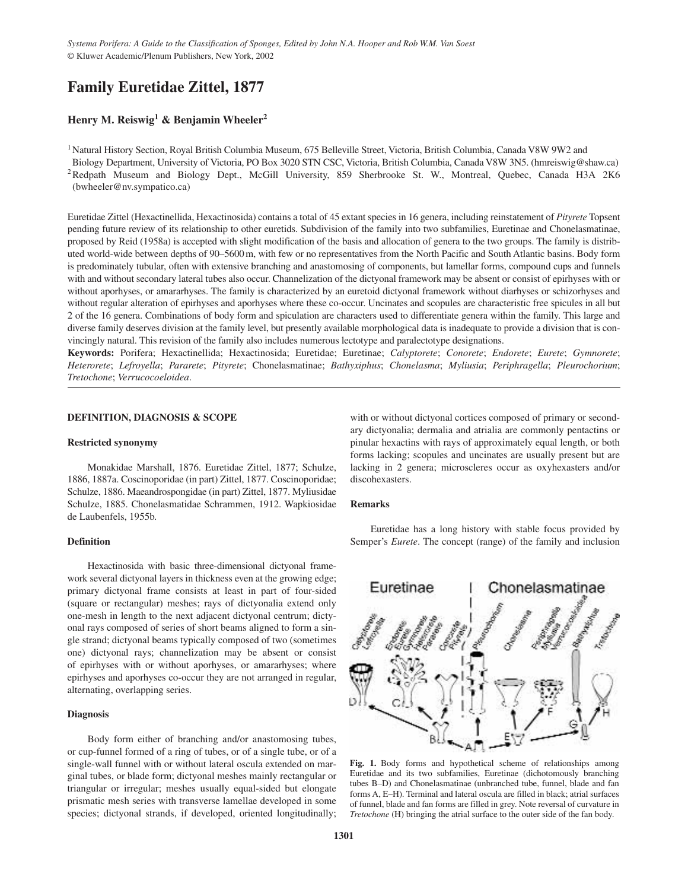# **Family Euretidae Zittel, 1877**

# **Henry M. Reiswig<sup>1</sup> & Benjamin Wheeler2**

<sup>1</sup> Natural History Section, Royal British Columbia Museum, 675 Belleville Street, Victoria, British Columbia, Canada V8W 9W2 and

Biology Department, University of Victoria, PO Box 3020 STN CSC, Victoria, British Columbia, Canada V8W 3N5. (hmreiswig@shaw.ca) <sup>2</sup>Redpath Museum and Biology Dept., McGill University, 859 Sherbrooke St. W., Montreal, Quebec, Canada H3A 2K6 (bwheeler@nv.sympatico.ca)

Euretidae Zittel (Hexactinellida, Hexactinosida) contains a total of 45 extant species in 16 genera, including reinstatement of *Pityrete* Topsent pending future review of its relationship to other euretids. Subdivision of the family into two subfamilies, Euretinae and Chonelasmatinae, proposed by Reid (1958a) is accepted with slight modification of the basis and allocation of genera to the two groups. The family is distributed world-wide between depths of 90–5600 m, with few or no representatives from the North Pacific and South Atlantic basins. Body form is predominately tubular, often with extensive branching and anastomosing of components, but lamellar forms, compound cups and funnels with and without secondary lateral tubes also occur. Channelization of the dictyonal framework may be absent or consist of epirhyses with or without aporhyses, or amararhyses. The family is characterized by an euretoid dictyonal framework without diarhyses or schizorhyses and without regular alteration of epirhyses and aporhyses where these co-occur. Uncinates and scopules are characteristic free spicules in all but 2 of the 16 genera. Combinations of body form and spiculation are characters used to differentiate genera within the family. This large and diverse family deserves division at the family level, but presently available morphological data is inadequate to provide a division that is convincingly natural. This revision of the family also includes numerous lectotype and paralectotype designations.

**Keywords:** Porifera; Hexactinellida; Hexactinosida; Euretidae; Euretinae; *Calyptorete*; *Conorete*; *Endorete*; *Eurete*; *Gymnorete*; *Heterorete*; *Lefroyella*; *Pararete*; *Pityrete*; Chonelasmatinae; *Bathyxiphus*; *Chonelasma*; *Myliusia*; *Periphragella*; *Pleurochorium*; *Tretochone*; *Verrucocoeloidea*.

# **DEFINITION, DIAGNOSIS & SCOPE**

# **Restricted synonymy**

Monakidae Marshall, 1876. Euretidae Zittel, 1877; Schulze, 1886, 1887a. Coscinoporidae (in part) Zittel, 1877. Coscinoporidae; Schulze, 1886. Maeandrospongidae (in part) Zittel, 1877. Myliusidae Schulze, 1885. Chonelasmatidae Schrammen, 1912. Wapkiosidae de Laubenfels, 1955b.

# **Definition**

Hexactinosida with basic three-dimensional dictyonal framework several dictyonal layers in thickness even at the growing edge; primary dictyonal frame consists at least in part of four-sided (square or rectangular) meshes; rays of dictyonalia extend only one-mesh in length to the next adjacent dictyonal centrum; dictyonal rays composed of series of short beams aligned to form a single strand; dictyonal beams typically composed of two (sometimes one) dictyonal rays; channelization may be absent or consist of epirhyses with or without aporhyses, or amararhyses; where epirhyses and aporhyses co-occur they are not arranged in regular, alternating, overlapping series.

# **Diagnosis**

Body form either of branching and/or anastomosing tubes, or cup-funnel formed of a ring of tubes, or of a single tube, or of a single-wall funnel with or without lateral oscula extended on marginal tubes, or blade form; dictyonal meshes mainly rectangular or triangular or irregular; meshes usually equal-sided but elongate prismatic mesh series with transverse lamellae developed in some species; dictyonal strands, if developed, oriented longitudinally;

with or without dictyonal cortices composed of primary or secondary dictyonalia; dermalia and atrialia are commonly pentactins or pinular hexactins with rays of approximately equal length, or both forms lacking; scopules and uncinates are usually present but are lacking in 2 genera; microscleres occur as oxyhexasters and/or discohexasters.

### **Remarks**

Euretidae has a long history with stable focus provided by Semper's *Eurete*. The concept (range) of the family and inclusion



**Fig. 1.** Body forms and hypothetical scheme of relationships among Euretidae and its two subfamilies, Euretinae (dichotomously branching tubes B–D) and Chonelasmatinae (unbranched tube, funnel, blade and fan forms A, E–H). Terminal and lateral oscula are filled in black; atrial surfaces of funnel, blade and fan forms are filled in grey. Note reversal of curvature in *Tretochone* (H) bringing the atrial surface to the outer side of the fan body.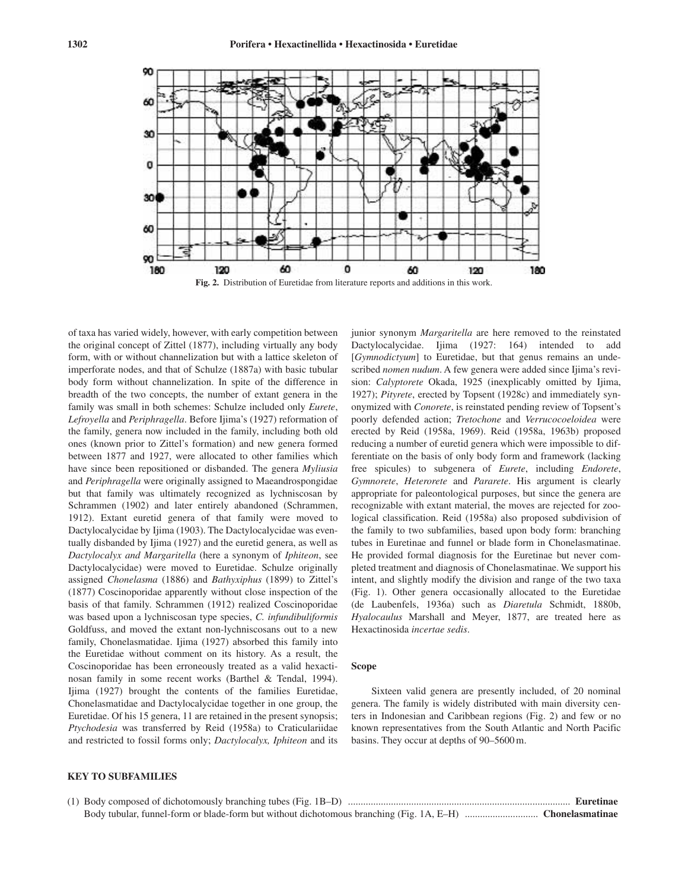

of taxa has varied widely, however, with early competition between the original concept of Zittel (1877), including virtually any body form, with or without channelization but with a lattice skeleton of imperforate nodes, and that of Schulze (1887a) with basic tubular body form without channelization. In spite of the difference in breadth of the two concepts, the number of extant genera in the family was small in both schemes: Schulze included only *Eurete*, *Lefroyella* and *Periphragella*. Before Ijima's (1927) reformation of the family, genera now included in the family, including both old ones (known prior to Zittel's formation) and new genera formed between 1877 and 1927, were allocated to other families which have since been repositioned or disbanded. The genera *Myliusia* and *Periphragella* were originally assigned to Maeandrospongidae but that family was ultimately recognized as lychniscosan by Schrammen (1902) and later entirely abandoned (Schrammen, 1912). Extant euretid genera of that family were moved to Dactylocalycidae by Ijima (1903). The Dactylocalycidae was eventually disbanded by Ijima (1927) and the euretid genera, as well as *Dactylocalyx and Margaritella* (here a synonym of *Iphiteon*, see Dactylocalycidae) were moved to Euretidae. Schulze originally assigned *Chonelasma* (1886) and *Bathyxiphus* (1899) to Zittel's (1877) Coscinoporidae apparently without close inspection of the basis of that family. Schrammen (1912) realized Coscinoporidae was based upon a lychniscosan type species, *C. infundibuliformis* Goldfuss, and moved the extant non-lychniscosans out to a new family, Chonelasmatidae. Ijima (1927) absorbed this family into the Euretidae without comment on its history. As a result, the Coscinoporidae has been erroneously treated as a valid hexactinosan family in some recent works (Barthel & Tendal, 1994). Ijima (1927) brought the contents of the families Euretidae, Chonelasmatidae and Dactylocalycidae together in one group, the Euretidae. Of his 15 genera, 11 are retained in the present synopsis; *Ptychodesia* was transferred by Reid (1958a) to Craticulariidae and restricted to fossil forms only; *Dactylocalyx, Iphiteon* and its

junior synonym *Margaritella* are here removed to the reinstated Dactylocalycidae. Ijima (1927: 164) intended to add [*Gymnodictyum*] to Euretidae, but that genus remains an undescribed *nomen nudum*. A few genera were added since Ijima's revision: *Calyptorete* Okada, 1925 (inexplicably omitted by Ijima, 1927); *Pityrete*, erected by Topsent (1928c) and immediately synonymized with *Conorete*, is reinstated pending review of Topsent's poorly defended action; *Tretochone* and *Verrucocoeloidea* were erected by Reid (1958a, 1969). Reid (1958a, 1963b) proposed reducing a number of euretid genera which were impossible to differentiate on the basis of only body form and framework (lacking free spicules) to subgenera of *Eurete*, including *Endorete*, *Gymnorete*, *Heterorete* and *Pararete*. His argument is clearly appropriate for paleontological purposes, but since the genera are recognizable with extant material, the moves are rejected for zoological classification. Reid (1958a) also proposed subdivision of the family to two subfamilies, based upon body form: branching tubes in Euretinae and funnel or blade form in Chonelasmatinae. He provided formal diagnosis for the Euretinae but never completed treatment and diagnosis of Chonelasmatinae. We support his intent, and slightly modify the division and range of the two taxa (Fig. 1). Other genera occasionally allocated to the Euretidae (de Laubenfels, 1936a) such as *Diaretula* Schmidt, 1880b, *Hyalocaulus* Marshall and Meyer, 1877, are treated here as Hexactinosida *incertae sedis*.

# **Scope**

Sixteen valid genera are presently included, of 20 nominal genera. The family is widely distributed with main diversity centers in Indonesian and Caribbean regions (Fig. 2) and few or no known representatives from the South Atlantic and North Pacific basins. They occur at depths of 90–5600 m.

# **KEY TO SUBFAMILIES**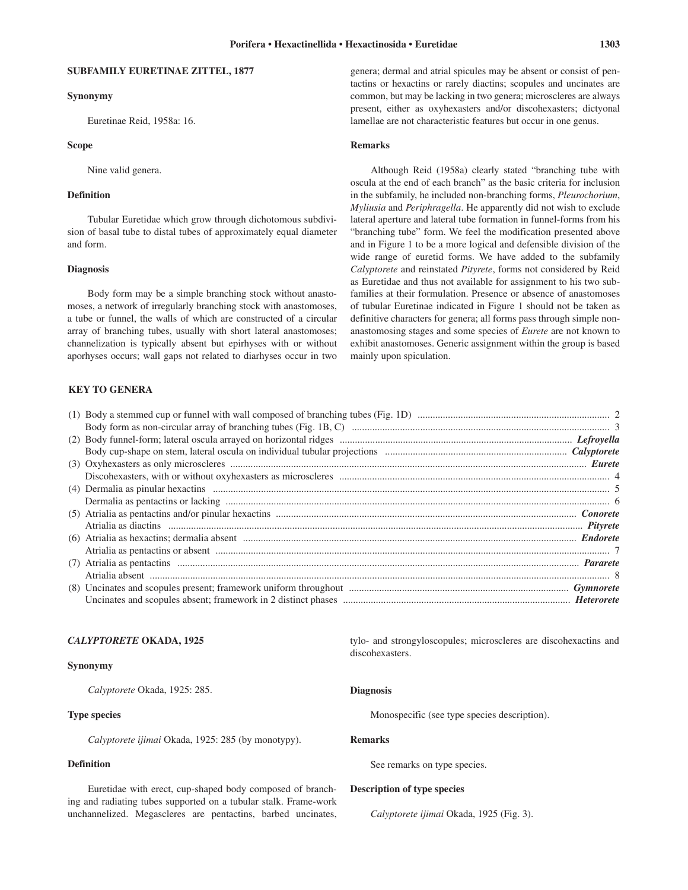# **SUBFAMILY EURETINAE ZITTEL, 1877**

#### **Synonymy**

Euretinae Reid, 1958a: 16.

# **Scope**

Nine valid genera.

# **Definition**

Tubular Euretidae which grow through dichotomous subdivision of basal tube to distal tubes of approximately equal diameter and form.

### **Diagnosis**

Body form may be a simple branching stock without anastomoses, a network of irregularly branching stock with anastomoses, a tube or funnel, the walls of which are constructed of a circular array of branching tubes, usually with short lateral anastomoses; channelization is typically absent but epirhyses with or without aporhyses occurs; wall gaps not related to diarhyses occur in two

# **KEY TO GENERA**

### **Remarks**

Although Reid (1958a) clearly stated "branching tube with oscula at the end of each branch" as the basic criteria for inclusion in the subfamily, he included non-branching forms, *Pleurochorium*, *Myliusia* and *Periphragella*. He apparently did not wish to exclude lateral aperture and lateral tube formation in funnel-forms from his "branching tube" form. We feel the modification presented above and in Figure 1 to be a more logical and defensible division of the wide range of euretid forms. We have added to the subfamily *Calyptorete* and reinstated *Pityrete*, forms not considered by Reid as Euretidae and thus not available for assignment to his two subfamilies at their formulation. Presence or absence of anastomoses of tubular Euretinae indicated in Figure 1 should not be taken as definitive characters for genera; all forms pass through simple nonanastomosing stages and some species of *Eurete* are not known to exhibit anastomoses. Generic assignment within the group is based mainly upon spiculation.

#### *CALYPTORETE* **OKADA, 1925**

# **Synonymy**

*Calyptorete* Okada, 1925: 285.

# **Type species**

*Calyptorete ijimai* Okada, 1925: 285 (by monotypy).

# **Definition**

Euretidae with erect, cup-shaped body composed of branching and radiating tubes supported on a tubular stalk. Frame-work unchannelized. Megascleres are pentactins, barbed uncinates, tylo- and strongyloscopules; microscleres are discohexactins and discohexasters.

### **Diagnosis**

Monospecific (see type species description).

# **Remarks**

See remarks on type species.

# **Description of type species**

*Calyptorete ijimai* Okada, 1925 (Fig. 3).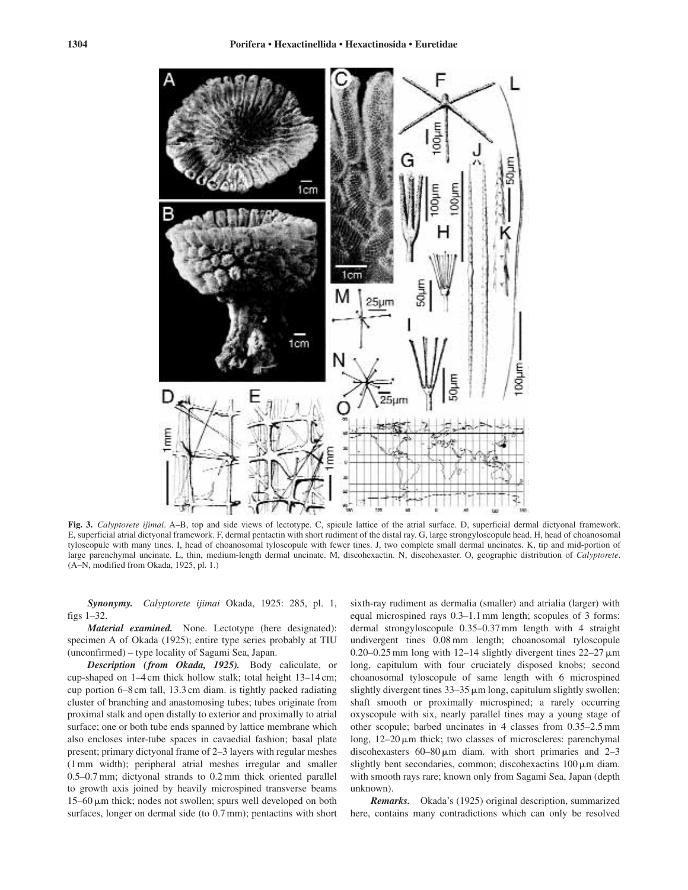

**Fig. 3.** *Calyptorete ijimai*. A–B, top and side views of lectotype. C, spicule lattice of the atrial surface. D, superficial dermal dictyonal framework. E, superficial atrial dictyonal framework. F, dermal pentactin with short rudiment of the distal ray. G, large strongyloscopule head. H, head of choanosomal tyloscopule with many tines. I, head of choanosomal tyloscopule with fewer tines. J, two complete small dermal uncinates. K, tip and mid-portion of large parenchymal uncinate. L, thin, medium-length dermal uncinate. M, discohexactin. N, discohexaster. O, geographic distribution of *Calyptorete*. (A–N, modified from Okada, 1925, pl. 1.)

*Synonymy. Calyptorete ijimai* Okada, 1925: 285, pl. 1, figs 1–32.

*Material examined.* None. Lectotype (here designated): specimen A of Okada (1925); entire type series probably at TIU (unconfirmed) – type locality of Sagami Sea, Japan.

*Description (from Okada, 1925).* Body caliculate, or cup-shaped on 1–4 cm thick hollow stalk; total height 13–14 cm; cup portion 6–8 cm tall, 13.3 cm diam. is tightly packed radiating cluster of branching and anastomosing tubes; tubes originate from proximal stalk and open distally to exterior and proximally to atrial surface; one or both tube ends spanned by lattice membrane which also encloses inter-tube spaces in cavaedial fashion; basal plate present; primary dictyonal frame of 2–3 layers with regular meshes (1 mm width); peripheral atrial meshes irregular and smaller 0.5–0.7 mm; dictyonal strands to 0.2 mm thick oriented parallel to growth axis joined by heavily microspined transverse beams 15–60  $\mu$ m thick; nodes not swollen; spurs well developed on both surfaces, longer on dermal side (to 0.7 mm); pentactins with short sixth-ray rudiment as dermalia (smaller) and atrialia (larger) with equal microspined rays 0.3–1.1 mm length; scopules of 3 forms: dermal strongyloscopule 0.35–0.37 mm length with 4 straight undivergent tines 0.08 mm length; choanosomal tyloscopule 0.20–0.25 mm long with  $12-14$  slightly divergent tines  $22-27 \,\mu m$ long, capitulum with four cruciately disposed knobs; second choanosomal tyloscopule of same length with 6 microspined slightly divergent tines  $33-35 \mu m$  long, capitulum slightly swollen; shaft smooth or proximally microspined; a rarely occurring oxyscopule with six, nearly parallel tines may a young stage of other scopule; barbed uncinates in 4 classes from 0.35–2.5 mm long, 12–20 μm thick; two classes of microscleres: parenchymal discohexasters  $60-80 \mu m$  diam. with short primaries and  $2-3$ slightly bent secondaries, common; discohexactins 100  $\mu$ m diam. with smooth rays rare; known only from Sagami Sea, Japan (depth unknown).

*Remarks.* Okada's (1925) original description, summarized here, contains many contradictions which can only be resolved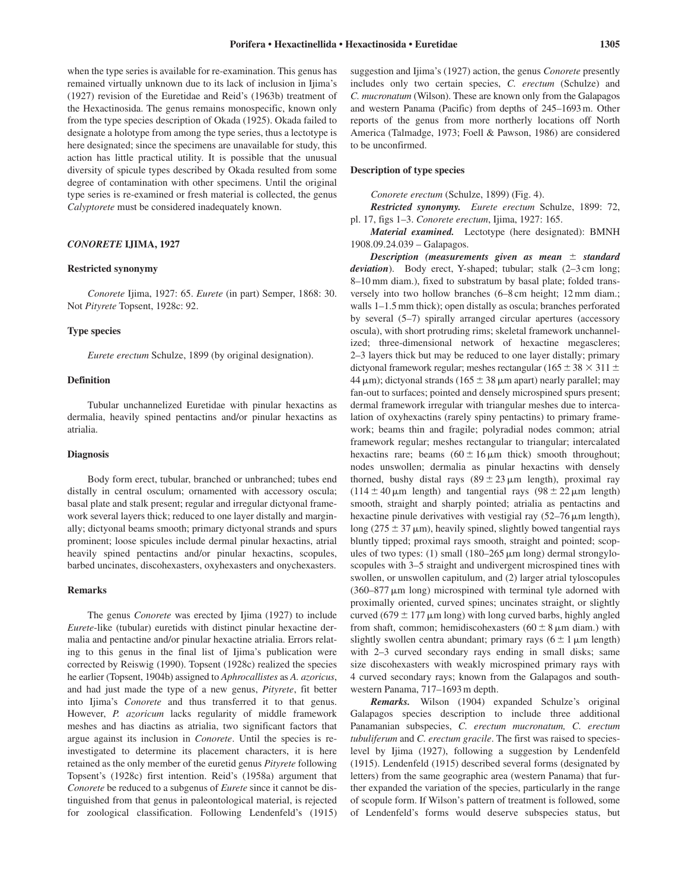when the type series is available for re-examination. This genus has remained virtually unknown due to its lack of inclusion in Ijima's (1927) revision of the Euretidae and Reid's (1963b) treatment of the Hexactinosida. The genus remains monospecific, known only from the type species description of Okada (1925). Okada failed to designate a holotype from among the type series, thus a lectotype is here designated; since the specimens are unavailable for study, this action has little practical utility. It is possible that the unusual diversity of spicule types described by Okada resulted from some degree of contamination with other specimens. Until the original type series is re-examined or fresh material is collected, the genus *Calyptorete* must be considered inadequately known.

#### *CONORETE* **IJIMA, 1927**

#### **Restricted synonymy**

*Conorete* Ijima, 1927: 65. *Eurete* (in part) Semper, 1868: 30. Not *Pityrete* Topsent, 1928c: 92.

### **Type species**

*Eurete erectum* Schulze, 1899 (by original designation).

### **Definition**

Tubular unchannelized Euretidae with pinular hexactins as dermalia, heavily spined pentactins and/or pinular hexactins as atrialia.

# **Diagnosis**

Body form erect, tubular, branched or unbranched; tubes end distally in central osculum; ornamented with accessory oscula; basal plate and stalk present; regular and irregular dictyonal framework several layers thick; reduced to one layer distally and marginally; dictyonal beams smooth; primary dictyonal strands and spurs prominent; loose spicules include dermal pinular hexactins, atrial heavily spined pentactins and/or pinular hexactins, scopules, barbed uncinates, discohexasters, oxyhexasters and onychexasters.

# **Remarks**

The genus *Conorete* was erected by Ijima (1927) to include *Eurete*-like (tubular) euretids with distinct pinular hexactine dermalia and pentactine and/or pinular hexactine atrialia. Errors relating to this genus in the final list of Ijima's publication were corrected by Reiswig (1990). Topsent (1928c) realized the species he earlier (Topsent, 1904b) assigned to *Aphrocallistes* as *A. azoricus*, and had just made the type of a new genus, *Pityrete*, fit better into Ijima's *Conorete* and thus transferred it to that genus. However, *P. azoricum* lacks regularity of middle framework meshes and has diactins as atrialia, two significant factors that argue against its inclusion in *Conorete*. Until the species is reinvestigated to determine its placement characters, it is here retained as the only member of the euretid genus *Pityrete* following Topsent's (1928c) first intention. Reid's (1958a) argument that *Conorete* be reduced to a subgenus of *Eurete* since it cannot be distinguished from that genus in paleontological material, is rejected for zoological classification. Following Lendenfeld's (1915)

suggestion and Ijima's (1927) action, the genus *Conorete* presently includes only two certain species, *C. erectum* (Schulze) and *C. mucronatum* (Wilson). These are known only from the Galapagos and western Panama (Pacific) from depths of 245–1693 m. Other reports of the genus from more northerly locations off North America (Talmadge, 1973; Foell & Pawson, 1986) are considered to be unconfirmed.

#### **Description of type species**

*Conorete erectum* (Schulze, 1899) (Fig. 4).

*Restricted synonymy. Eurete erectum* Schulze, 1899: 72, pl. 17, figs 1–3. *Conorete erectum*, Ijima, 1927: 165.

*Material examined.* Lectotype (here designated): BMNH 1908.09.24.039 – Galapagos.

*Description (measurements given as mean*  $\pm$  *standard deviation*). Body erect, Y-shaped; tubular; stalk (2–3 cm long; 8–10 mm diam.), fixed to substratum by basal plate; folded transversely into two hollow branches (6–8 cm height; 12 mm diam.; walls 1–1.5 mm thick); open distally as oscula; branches perforated by several (5–7) spirally arranged circular apertures (accessory oscula), with short protruding rims; skeletal framework unchannelized; three-dimensional network of hexactine megascleres; 2–3 layers thick but may be reduced to one layer distally; primary dictyonal framework regular; meshes rectangular ( $165 \pm 38 \times 311 \pm 1$  $44 \,\mu m$ ); dictyonal strands ( $165 \pm 38 \,\mu m$  apart) nearly parallel; may fan-out to surfaces; pointed and densely microspined spurs present; dermal framework irregular with triangular meshes due to intercalation of oxyhexactins (rarely spiny pentactins) to primary framework; beams thin and fragile; polyradial nodes common; atrial framework regular; meshes rectangular to triangular; intercalated hexactins rare; beams  $(60 \pm 16 \,\mu\text{m}$  thick) smooth throughout; nodes unswollen; dermalia as pinular hexactins with densely thorned, bushy distal rays  $(89 \pm 23 \,\mu m)$  length), proximal ray  $(114 \pm 40 \,\mu \text{m}$  length) and tangential rays  $(98 \pm 22 \,\mu \text{m}$  length) smooth, straight and sharply pointed; atrialia as pentactins and hexactine pinule derivatives with vestigial ray  $(52-76 \,\mu m \,\text{length})$ , long  $(275 \pm 37 \,\mu\text{m})$ , heavily spined, slightly bowed tangential rays bluntly tipped; proximal rays smooth, straight and pointed; scopules of two types:  $(1)$  small  $(180-265 \,\mu m)$  long) dermal strongyloscopules with 3–5 straight and undivergent microspined tines with swollen, or unswollen capitulum, and (2) larger atrial tyloscopules  $(360-877 \,\mu m)$  long) microspined with terminal tyle adorned with proximally oriented, curved spines; uncinates straight, or slightly curved (679  $\pm$  177  $\mu$ m long) with long curved barbs, highly angled from shaft, common; hemidiscohexasters  $(60 \pm 8 \,\mu \text{m} \text{ diam.})$  with slightly swollen centra abundant; primary rays  $(6 \pm 1 \,\mu m \,\text{length})$ with 2–3 curved secondary rays ending in small disks; same size discohexasters with weakly microspined primary rays with 4 curved secondary rays; known from the Galapagos and southwestern Panama, 717–1693 m depth.

*Remarks.* Wilson (1904) expanded Schulze's original Galapagos species description to include three additional Panamanian subspecies, *C. erectum mucronatum, C. erectum tubuliferum* and *C. erectum gracile*. The first was raised to specieslevel by Ijima (1927), following a suggestion by Lendenfeld (1915). Lendenfeld (1915) described several forms (designated by letters) from the same geographic area (western Panama) that further expanded the variation of the species, particularly in the range of scopule form. If Wilson's pattern of treatment is followed, some of Lendenfeld's forms would deserve subspecies status, but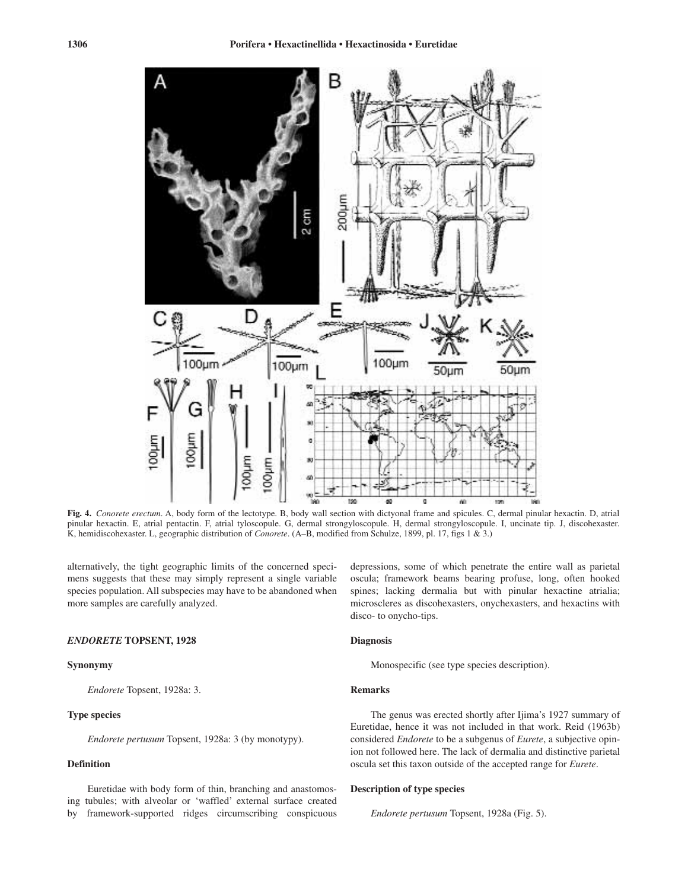

**Fig. 4.** *Conorete erectum*. A, body form of the lectotype. B, body wall section with dictyonal frame and spicules. C, dermal pinular hexactin. D, atrial pinular hexactin. E, atrial pentactin. F, atrial tyloscopule. G, dermal strongyloscopule. H, dermal strongyloscopule. I, uncinate tip. J, discohexaster. K, hemidiscohexaster. L, geographic distribution of *Conorete*. (A–B, modified from Schulze, 1899, pl. 17, figs 1 & 3.)

alternatively, the tight geographic limits of the concerned specimens suggests that these may simply represent a single variable species population. All subspecies may have to be abandoned when more samples are carefully analyzed.

### *ENDORETE* **TOPSENT, 1928**

# **Synonymy**

*Endorete* Topsent, 1928a: 3.

# **Type species**

*Endorete pertusum* Topsent, 1928a: 3 (by monotypy).

# **Definition**

Euretidae with body form of thin, branching and anastomosing tubules; with alveolar or 'waffled' external surface created by framework-supported ridges circumscribing conspicuous

depressions, some of which penetrate the entire wall as parietal oscula; framework beams bearing profuse, long, often hooked spines; lacking dermalia but with pinular hexactine atrialia; microscleres as discohexasters, onychexasters, and hexactins with disco- to onycho-tips.

# **Diagnosis**

Monospecific (see type species description).

# **Remarks**

The genus was erected shortly after Ijima's 1927 summary of Euretidae, hence it was not included in that work. Reid (1963b) considered *Endorete* to be a subgenus of *Eurete*, a subjective opinion not followed here. The lack of dermalia and distinctive parietal oscula set this taxon outside of the accepted range for *Eurete*.

# **Description of type species**

*Endorete pertusum* Topsent, 1928a (Fig. 5).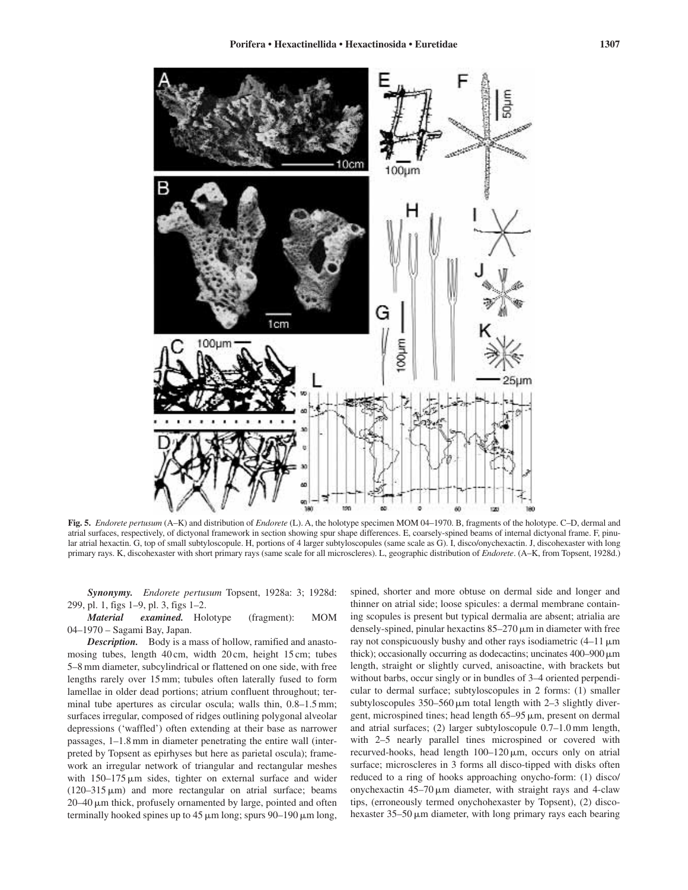![](_page_6_Figure_1.jpeg)

**Fig. 5.** *Endorete pertusum* (A–K) and distribution of *Endorete* (L). A, the holotype specimen MOM 04–1970. B, fragments of the holotype. C–D, dermal and atrial surfaces, respectively, of dictyonal framework in section showing spur shape differences. E, coarsely-spined beams of internal dictyonal frame. F, pinular atrial hexactin. G, top of small subtyloscopule. H, portions of 4 larger subtyloscopules (same scale as G). I, disco/onychexactin. J, discohexaster with long primary rays. K, discohexaster with short primary rays (same scale for all microscleres). L, geographic distribution of *Endorete*. (A–K, from Topsent, 1928d.)

*Synonymy. Endorete pertusum* Topsent, 1928a: 3; 1928d: 299, pl. 1, figs 1–9, pl. 3, figs 1–2.

*Material examined.* Holotype (fragment): MOM 04–1970 – Sagami Bay, Japan.

*Description.* Body is a mass of hollow, ramified and anastomosing tubes, length 40 cm, width 20 cm, height 15 cm; tubes 5–8 mm diameter, subcylindrical or flattened on one side, with free lengths rarely over 15 mm; tubules often laterally fused to form lamellae in older dead portions; atrium confluent throughout; terminal tube apertures as circular oscula; walls thin, 0.8–1.5 mm; surfaces irregular, composed of ridges outlining polygonal alveolar depressions ('waffled') often extending at their base as narrower passages, 1–1.8 mm in diameter penetrating the entire wall (interpreted by Topsent as epirhyses but here as parietal oscula); framework an irregular network of triangular and rectangular meshes with  $150-175 \,\mu m$  sides, tighter on external surface and wider  $(120-315 \,\mu m)$  and more rectangular on atrial surface; beams 20–40  $\mu$ m thick, profusely ornamented by large, pointed and often terminally hooked spines up to  $45 \mu m$  long; spurs  $90-190 \mu m$  long,

spined, shorter and more obtuse on dermal side and longer and thinner on atrial side; loose spicules: a dermal membrane containing scopules is present but typical dermalia are absent; atrialia are densely-spined, pinular hexactins  $85-270 \,\mu m$  in diameter with free ray not conspicuously bushy and other rays isodiametric  $(4-11 \,\mu m)$ thick); occasionally occurring as dodecactins; uncinates  $400-900 \,\mathrm{\upmu m}$ length, straight or slightly curved, anisoactine, with brackets but without barbs, occur singly or in bundles of 3–4 oriented perpendicular to dermal surface; subtyloscopules in 2 forms: (1) smaller subtyloscopules  $350-560 \,\mu m$  total length with 2-3 slightly divergent, microspined tines; head length 65–95  $\mu$ m, present on dermal and atrial surfaces; (2) larger subtyloscopule 0.7–1.0 mm length, with 2–5 nearly parallel tines microspined or covered with recurved-hooks, head length 100–120  $\mu$ m, occurs only on atrial surface; microscleres in 3 forms all disco-tipped with disks often reduced to a ring of hooks approaching onycho-form: (1) disco/ onychexactin  $45-70 \mu m$  diameter, with straight rays and 4-claw tips, (erroneously termed onychohexaster by Topsent), (2) discohexaster 35–50  $\mu$ m diameter, with long primary rays each bearing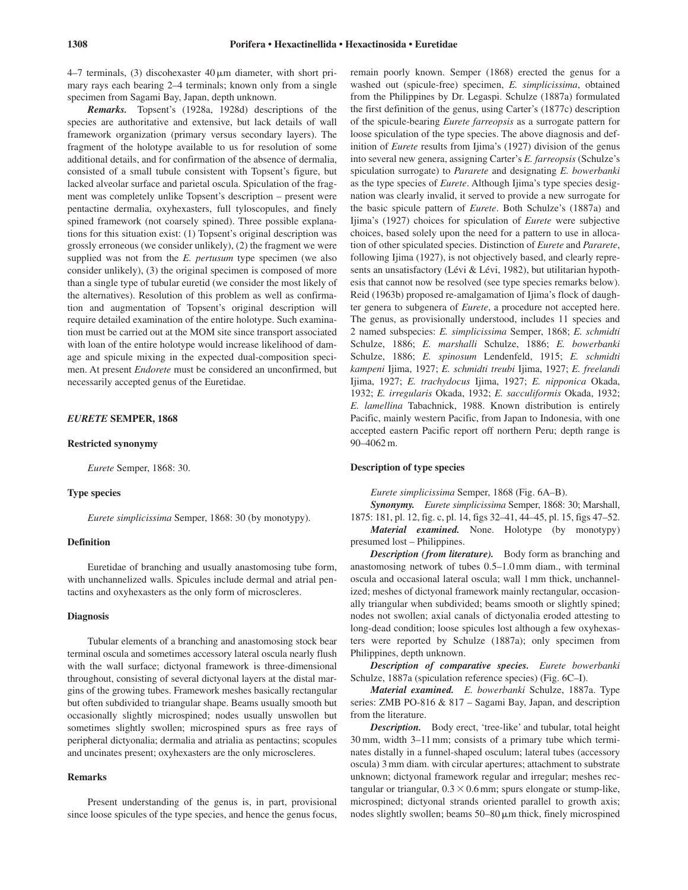$4-7$  terminals, (3) discohexaster  $40 \mu m$  diameter, with short primary rays each bearing 2–4 terminals; known only from a single specimen from Sagami Bay, Japan, depth unknown.

*Remarks.* Topsent's (1928a, 1928d) descriptions of the species are authoritative and extensive, but lack details of wall framework organization (primary versus secondary layers). The fragment of the holotype available to us for resolution of some additional details, and for confirmation of the absence of dermalia, consisted of a small tubule consistent with Topsent's figure, but lacked alveolar surface and parietal oscula. Spiculation of the fragment was completely unlike Topsent's description – present were pentactine dermalia, oxyhexasters, full tyloscopules, and finely spined framework (not coarsely spined). Three possible explanations for this situation exist: (1) Topsent's original description was grossly erroneous (we consider unlikely), (2) the fragment we were supplied was not from the *E. pertusum* type specimen (we also consider unlikely), (3) the original specimen is composed of more than a single type of tubular euretid (we consider the most likely of the alternatives). Resolution of this problem as well as confirmation and augmentation of Topsent's original description will require detailed examination of the entire holotype. Such examination must be carried out at the MOM site since transport associated with loan of the entire holotype would increase likelihood of damage and spicule mixing in the expected dual-composition specimen. At present *Endorete* must be considered an unconfirmed, but necessarily accepted genus of the Euretidae.

# *EURETE* **SEMPER, 1868**

### **Restricted synonymy**

*Eurete* Semper, 1868: 30.

# **Type species**

*Eurete simplicissima* Semper, 1868: 30 (by monotypy).

# **Definition**

Euretidae of branching and usually anastomosing tube form, with unchannelized walls. Spicules include dermal and atrial pentactins and oxyhexasters as the only form of microscleres.

### **Diagnosis**

Tubular elements of a branching and anastomosing stock bear terminal oscula and sometimes accessory lateral oscula nearly flush with the wall surface; dictyonal framework is three-dimensional throughout, consisting of several dictyonal layers at the distal margins of the growing tubes. Framework meshes basically rectangular but often subdivided to triangular shape. Beams usually smooth but occasionally slightly microspined; nodes usually unswollen but sometimes slightly swollen; microspined spurs as free rays of peripheral dictyonalia; dermalia and atrialia as pentactins; scopules and uncinates present; oxyhexasters are the only microscleres.

# **Remarks**

Present understanding of the genus is, in part, provisional since loose spicules of the type species, and hence the genus focus, remain poorly known. Semper (1868) erected the genus for a washed out (spicule-free) specimen, *E. simplicissima*, obtained from the Philippines by Dr. Legaspi. Schulze (1887a) formulated the first definition of the genus, using Carter's (1877c) description of the spicule-bearing *Eurete farreopsis* as a surrogate pattern for loose spiculation of the type species. The above diagnosis and definition of *Eurete* results from Ijima's (1927) division of the genus into several new genera, assigning Carter's *E. farreopsis* (Schulze's spiculation surrogate) to *Pararete* and designating *E. bowerbanki* as the type species of *Eurete*. Although Ijima's type species designation was clearly invalid, it served to provide a new surrogate for the basic spicule pattern of *Eurete*. Both Schulze's (1887a) and Ijima's (1927) choices for spiculation of *Eurete* were subjective choices, based solely upon the need for a pattern to use in allocation of other spiculated species. Distinction of *Eurete* and *Pararete*, following Ijima (1927), is not objectively based, and clearly represents an unsatisfactory (Lévi & Lévi, 1982), but utilitarian hypothesis that cannot now be resolved (see type species remarks below). Reid (1963b) proposed re-amalgamation of Ijima's flock of daughter genera to subgenera of *Eurete*, a procedure not accepted here. The genus, as provisionally understood, includes 11 species and 2 named subspecies: *E. simplicissima* Semper, 1868; *E. schmidti* Schulze, 1886; *E. marshalli* Schulze, 1886; *E. bowerbanki* Schulze, 1886; *E. spinosum* Lendenfeld, 1915; *E. schmidti kampeni* Ijima, 1927; *E. schmidti treubi* Ijima, 1927; *E. freelandi* Ijima, 1927; *E. trachydocus* Ijima, 1927; *E. nipponica* Okada, 1932; *E. irregularis* Okada, 1932; *E. sacculiformis* Okada, 1932; *E. lamellina* Tabachnick, 1988. Known distribution is entirely Pacific, mainly western Pacific, from Japan to Indonesia, with one accepted eastern Pacific report off northern Peru; depth range is 90–4062 m.

# **Description of type species**

*Eurete simplicissima* Semper, 1868 (Fig. 6A–B).

*Synonymy. Eurete simplicissima* Semper, 1868: 30; Marshall, 1875: 181, pl. 12, fig. c, pl. 14, figs 32–41, 44–45, pl. 15, figs 47–52. *Material examined.* None. Holotype (by monotypy) presumed lost – Philippines.

*Description (from literature).* Body form as branching and anastomosing network of tubes 0.5–1.0 mm diam., with terminal oscula and occasional lateral oscula; wall 1 mm thick, unchannelized; meshes of dictyonal framework mainly rectangular, occasionally triangular when subdivided; beams smooth or slightly spined; nodes not swollen; axial canals of dictyonalia eroded attesting to long-dead condition; loose spicules lost although a few oxyhexasters were reported by Schulze (1887a); only specimen from Philippines, depth unknown.

*Description of comparative species. Eurete bowerbanki* Schulze, 1887a (spiculation reference species) (Fig. 6C–I).

*Material examined. E. bowerbanki* Schulze, 1887a. Type series: ZMB PO-816 & 817 – Sagami Bay, Japan, and description from the literature.

*Description.* Body erect, 'tree-like' and tubular, total height 30 mm, width 3–11 mm; consists of a primary tube which terminates distally in a funnel-shaped osculum; lateral tubes (accessory oscula) 3 mm diam. with circular apertures; attachment to substrate unknown; dictyonal framework regular and irregular; meshes rectangular or triangular,  $0.3 \times 0.6$  mm; spurs elongate or stump-like, microspined; dictyonal strands oriented parallel to growth axis; nodes slightly swollen; beams  $50-80 \mu m$  thick, finely microspined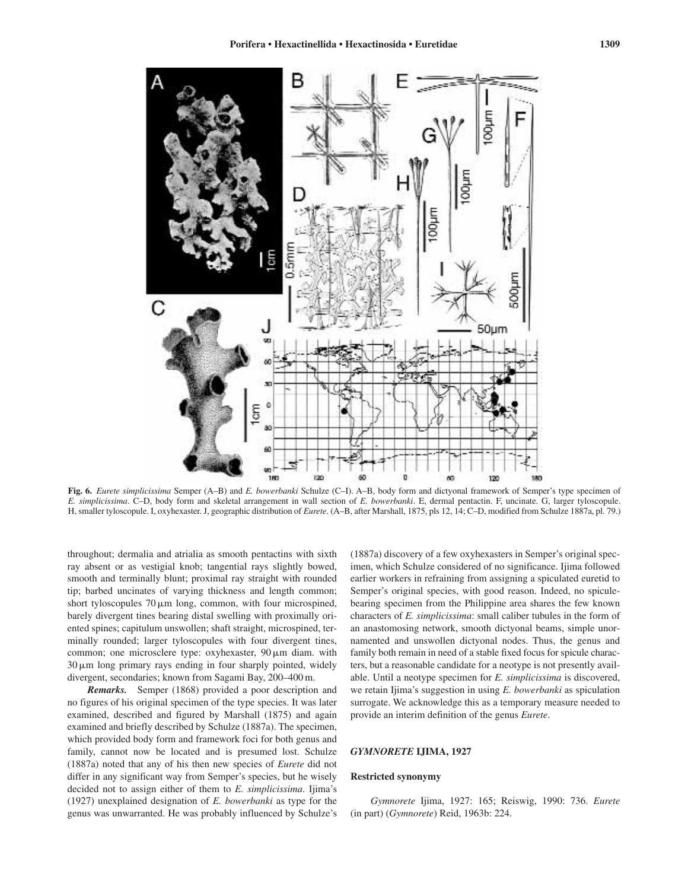![](_page_8_Figure_1.jpeg)

**Fig. 6.** *Eurete simplicissima* Semper (A–B) and *E. bowerbanki* Schulze (C–I). A–B, body form and dictyonal framework of Semper's type specimen of *E. simplicissima*. C–D, body form and skeletal arrangement in wall section of *E. bowerbanki*. E, dermal pentactin. F, uncinate. G, larger tyloscopule. H, smaller tyloscopule. I, oxyhexaster. J, geographic distribution of *Eurete*. (A–B, after Marshall, 1875, pls 12, 14; C–D, modified from Schulze 1887a, pl. 79.)

throughout; dermalia and atrialia as smooth pentactins with sixth ray absent or as vestigial knob; tangential rays slightly bowed, smooth and terminally blunt; proximal ray straight with rounded tip; barbed uncinates of varying thickness and length common; short tyloscopules  $70 \mu m$  long, common, with four microspined, barely divergent tines bearing distal swelling with proximally oriented spines; capitulum unswollen; shaft straight, microspined, terminally rounded; larger tyloscopules with four divergent tines, common; one microsclere type: oxyhexaster,  $90 \mu m$  diam. with 30  $\mu$ m long primary rays ending in four sharply pointed, widely divergent, secondaries; known from Sagami Bay, 200–400 m.

*Remarks.* Semper (1868) provided a poor description and no figures of his original specimen of the type species. It was later examined, described and figured by Marshall (1875) and again examined and briefly described by Schulze (1887a). The specimen, which provided body form and framework foci for both genus and family, cannot now be located and is presumed lost. Schulze (1887a) noted that any of his then new species of *Eurete* did not differ in any significant way from Semper's species, but he wisely decided not to assign either of them to *E. simplicissima*. Ijima's (1927) unexplained designation of *E. bowerbanki* as type for the genus was unwarranted. He was probably influenced by Schulze's

(1887a) discovery of a few oxyhexasters in Semper's original specimen, which Schulze considered of no significance. Ijima followed earlier workers in refraining from assigning a spiculated euretid to Semper's original species, with good reason. Indeed, no spiculebearing specimen from the Philippine area shares the few known characters of *E. simplicissima*: small caliber tubules in the form of an anastomosing network, smooth dictyonal beams, simple unornamented and unswollen dictyonal nodes. Thus, the genus and family both remain in need of a stable fixed focus for spicule characters, but a reasonable candidate for a neotype is not presently available. Until a neotype specimen for *E. simplicissima* is discovered, we retain Ijima's suggestion in using *E. bowerbanki* as spiculation surrogate. We acknowledge this as a temporary measure needed to provide an interim definition of the genus *Eurete*.

### *GYMNORETE* **IJIMA, 1927**

# **Restricted synonymy**

*Gymnorete* Ijima, 1927: 165; Reiswig, 1990: 736. *Eurete* (in part) (*Gymnorete*) Reid, 1963b: 224.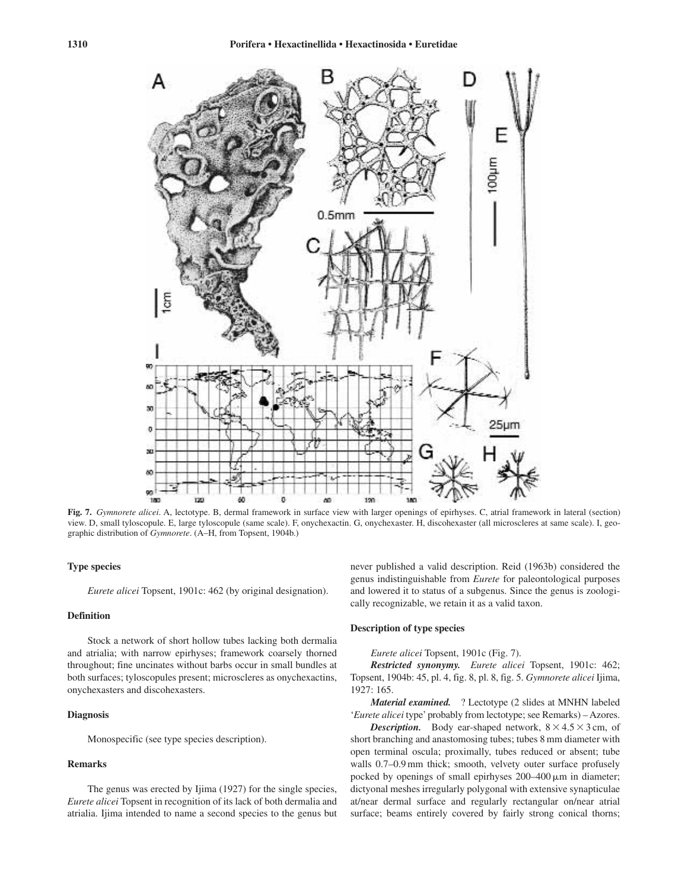![](_page_9_Figure_2.jpeg)

**Fig. 7.** *Gymnorete alicei*. A, lectotype. B, dermal framework in surface view with larger openings of epirhyses. C, atrial framework in lateral (section) view. D, small tyloscopule. E, large tyloscopule (same scale). F, onychexactin. G, onychexaster. H, discohexaster (all microscleres at same scale). I, geographic distribution of *Gymnorete*. (A–H, from Topsent, 1904b.)

# **Type species**

*Eurete alicei* Topsent, 1901c: 462 (by original designation).

### **Definition**

Stock a network of short hollow tubes lacking both dermalia and atrialia; with narrow epirhyses; framework coarsely thorned throughout; fine uncinates without barbs occur in small bundles at both surfaces; tyloscopules present; microscleres as onychexactins, onychexasters and discohexasters.

# **Diagnosis**

Monospecific (see type species description).

# **Remarks**

The genus was erected by Ijima (1927) for the single species, *Eurete alicei* Topsent in recognition of its lack of both dermalia and atrialia. Ijima intended to name a second species to the genus but

never published a valid description. Reid (1963b) considered the genus indistinguishable from *Eurete* for paleontological purposes and lowered it to status of a subgenus. Since the genus is zoologically recognizable, we retain it as a valid taxon.

### **Description of type species**

*Eurete alicei* Topsent, 1901c (Fig. 7).

*Restricted synonymy. Eurete alicei* Topsent, 1901c: 462; Topsent, 1904b: 45, pl. 4, fig. 8, pl. 8, fig. 5. *Gymnorete alicei* Ijima, 1927: 165.

*Material examined.* ? Lectotype (2 slides at MNHN labeled '*Eurete alicei* type' probably from lectotype; see Remarks) – Azores.

**Description.** Body ear-shaped network,  $8 \times 4.5 \times 3$  cm, of short branching and anastomosing tubes; tubes 8 mm diameter with open terminal oscula; proximally, tubes reduced or absent; tube walls 0.7–0.9 mm thick; smooth, velvety outer surface profusely pocked by openings of small epirhyses  $200-400 \,\mu m$  in diameter; dictyonal meshes irregularly polygonal with extensive synapticulae at/near dermal surface and regularly rectangular on/near atrial surface; beams entirely covered by fairly strong conical thorns;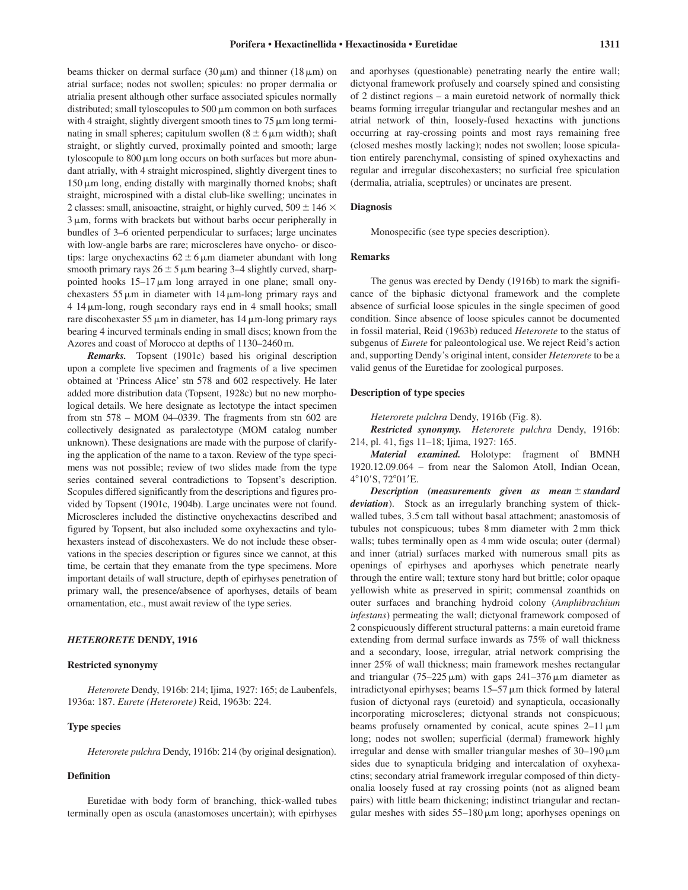beams thicker on dermal surface  $(30 \,\mu\text{m})$  and thinner  $(18 \,\mu\text{m})$  on atrial surface; nodes not swollen; spicules: no proper dermalia or atrialia present although other surface associated spicules normally distributed; small tyloscopules to 500  $\mu$ m common on both surfaces with 4 straight, slightly divergent smooth tines to  $75 \mu m$  long terminating in small spheres; capitulum swollen  $(8 \pm 6 \,\mu\text{m} \text{ width})$ ; shaft straight, or slightly curved, proximally pointed and smooth; large tyloscopule to 800  $\mu$ m long occurs on both surfaces but more abundant atrially, with 4 straight microspined, slightly divergent tines to  $150 \,\mu m$  long, ending distally with marginally thorned knobs; shaft straight, microspined with a distal club-like swelling; uncinates in 2 classes: small, anisoactine, straight, or highly curved,  $509 \pm 146 \times$ 3  $\mu$ m, forms with brackets but without barbs occur peripherally in bundles of 3–6 oriented perpendicular to surfaces; large uncinates with low-angle barbs are rare; microscleres have onycho- or discotips: large onychexactins  $62 \pm 6 \,\mu m$  diameter abundant with long smooth primary rays  $26 \pm 5 \,\mu$ m bearing 3–4 slightly curved, sharppointed hooks 15–17  $\mu$ m long arrayed in one plane; small onychexasters  $55 \mu m$  in diameter with  $14 \mu m$ -long primary rays and 4 14-m-long, rough secondary rays end in 4 small hooks; small rare discohexaster 55  $\mu$ m in diameter, has 14  $\mu$ m-long primary rays bearing 4 incurved terminals ending in small discs; known from the

*Remarks.* Topsent (1901c) based his original description upon a complete live specimen and fragments of a live specimen obtained at 'Princess Alice' stn 578 and 602 respectively. He later added more distribution data (Topsent, 1928c) but no new morphological details. We here designate as lectotype the intact specimen from stn 578 – MOM 04–0339. The fragments from stn 602 are collectively designated as paralectotype (MOM catalog number unknown). These designations are made with the purpose of clarifying the application of the name to a taxon. Review of the type specimens was not possible; review of two slides made from the type series contained several contradictions to Topsent's description. Scopules differed significantly from the descriptions and figures provided by Topsent (1901c, 1904b). Large uncinates were not found. Microscleres included the distinctive onychexactins described and figured by Topsent, but also included some oxyhexactins and tylohexasters instead of discohexasters. We do not include these observations in the species description or figures since we cannot, at this time, be certain that they emanate from the type specimens. More important details of wall structure, depth of epirhyses penetration of primary wall, the presence/absence of aporhyses, details of beam ornamentation, etc., must await review of the type series.

Azores and coast of Morocco at depths of 1130–2460 m.

# *HETERORETE* **DENDY, 1916**

# **Restricted synonymy**

*Heterorete* Dendy, 1916b: 214; Ijima, 1927: 165; de Laubenfels, 1936a: 187. *Eurete (Heterorete)* Reid, 1963b: 224.

### **Type species**

*Heterorete pulchra* Dendy, 1916b: 214 (by original designation).

# **Definition**

Euretidae with body form of branching, thick-walled tubes terminally open as oscula (anastomoses uncertain); with epirhyses and aporhyses (questionable) penetrating nearly the entire wall; dictyonal framework profusely and coarsely spined and consisting of 2 distinct regions – a main euretoid network of normally thick beams forming irregular triangular and rectangular meshes and an atrial network of thin, loosely-fused hexactins with junctions occurring at ray-crossing points and most rays remaining free (closed meshes mostly lacking); nodes not swollen; loose spiculation entirely parenchymal, consisting of spined oxyhexactins and regular and irregular discohexasters; no surficial free spiculation (dermalia, atrialia, sceptrules) or uncinates are present.

# **Diagnosis**

Monospecific (see type species description).

# **Remarks**

The genus was erected by Dendy (1916b) to mark the significance of the biphasic dictyonal framework and the complete absence of surficial loose spicules in the single specimen of good condition. Since absence of loose spicules cannot be documented in fossil material, Reid (1963b) reduced *Heterorete* to the status of subgenus of *Eurete* for paleontological use. We reject Reid's action and, supporting Dendy's original intent, consider *Heterorete* to be a valid genus of the Euretidae for zoological purposes.

#### **Description of type species**

*Heterorete pulchra* Dendy, 1916b (Fig. 8).

*Restricted synonymy. Heterorete pulchra* Dendy, 1916b: 214, pl. 41, figs 11–18; Ijima, 1927: 165.

*Material examined.* Holotype: fragment of BMNH 1920.12.09.064 – from near the Salomon Atoll, Indian Ocean, 4°10'S, 72°01'E.

*Description (measurements given as mean standard deviation*). Stock as an irregularly branching system of thickwalled tubes, 3.5 cm tall without basal attachment; anastomosis of tubules not conspicuous; tubes 8 mm diameter with 2 mm thick walls; tubes terminally open as 4 mm wide oscula; outer (dermal) and inner (atrial) surfaces marked with numerous small pits as openings of epirhyses and aporhyses which penetrate nearly through the entire wall; texture stony hard but brittle; color opaque yellowish white as preserved in spirit; commensal zoanthids on outer surfaces and branching hydroid colony (*Amphibrachium infestans*) permeating the wall; dictyonal framework composed of 2 conspicuously different structural patterns: a main euretoid frame extending from dermal surface inwards as 75% of wall thickness and a secondary, loose, irregular, atrial network comprising the inner 25% of wall thickness; main framework meshes rectangular and triangular  $(75-225 \,\mu\text{m})$  with gaps  $241-376 \,\mu\text{m}$  diameter as intradictyonal epirhyses; beams  $15-57 \,\mu m$  thick formed by lateral fusion of dictyonal rays (euretoid) and synapticula, occasionally incorporating microscleres; dictyonal strands not conspicuous; beams profusely ornamented by conical, acute spines  $2-11 \,\mu m$ long; nodes not swollen; superficial (dermal) framework highly irregular and dense with smaller triangular meshes of  $30-190 \,\mu m$ sides due to synapticula bridging and intercalation of oxyhexactins; secondary atrial framework irregular composed of thin dictyonalia loosely fused at ray crossing points (not as aligned beam pairs) with little beam thickening; indistinct triangular and rectangular meshes with sides  $55-180 \,\mu m$  long; aporhyses openings on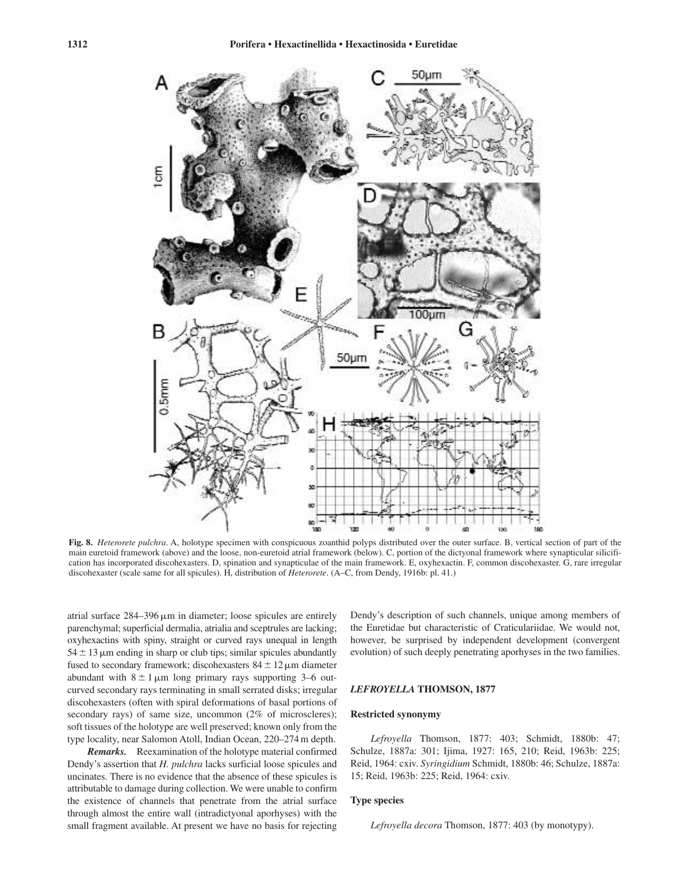![](_page_11_Figure_2.jpeg)

**Fig. 8.** *Heterorete pulchra*. A, holotype specimen with conspicuous zoanthid polyps distributed over the outer surface. B, vertical section of part of the main euretoid framework (above) and the loose, non-euretoid atrial framework (below). C, portion of the dictyonal framework where synapticular silicification has incorporated discohexasters. D, spination and synapticulae of the main framework. E, oxyhexactin. F, common discohexaster. G, rare irregular discohexaster (scale same for all spicules). H, distribution of *Heterorete*. (A–C, from Dendy, 1916b: pl. 41.)

atrial surface  $284 - 396 \,\mu m$  in diameter; loose spicules are entirely parenchymal; superficial dermalia, atrialia and sceptrules are lacking; oxyhexactins with spiny, straight or curved rays unequal in length  $54 \pm 13 \,\mu$ m ending in sharp or club tips; similar spicules abundantly fused to secondary framework; discohexasters  $84 \pm 12 \,\mu$ m diameter abundant with  $8 \pm 1 \,\mu m$  long primary rays supporting 3–6 outcurved secondary rays terminating in small serrated disks; irregular discohexasters (often with spiral deformations of basal portions of secondary rays) of same size, uncommon (2% of microscleres); soft tissues of the holotype are well preserved; known only from the type locality, near Salomon Atoll, Indian Ocean, 220–274 m depth.

*Remarks.* Reexamination of the holotype material confirmed Dendy's assertion that *H. pulchra* lacks surficial loose spicules and uncinates. There is no evidence that the absence of these spicules is attributable to damage during collection. We were unable to confirm the existence of channels that penetrate from the atrial surface through almost the entire wall (intradictyonal aporhyses) with the small fragment available. At present we have no basis for rejecting

Dendy's description of such channels, unique among members of the Euretidae but characteristic of Craticulariidae. We would not, however, be surprised by independent development (convergent evolution) of such deeply penetrating aporhyses in the two families.

# *LEFROYELLA* **THOMSON, 1877**

#### **Restricted synonymy**

*Lefroyella* Thomson, 1877: 403; Schmidt, 1880b: 47; Schulze, 1887a: 301; Ijima, 1927: 165, 210; Reid, 1963b: 225; Reid, 1964: cxiv. *Syringidium* Schmidt, 1880b: 46; Schulze, 1887a: 15; Reid, 1963b: 225; Reid, 1964: cxiv.

#### **Type species**

*Lefroyella decora* Thomson, 1877: 403 (by monotypy).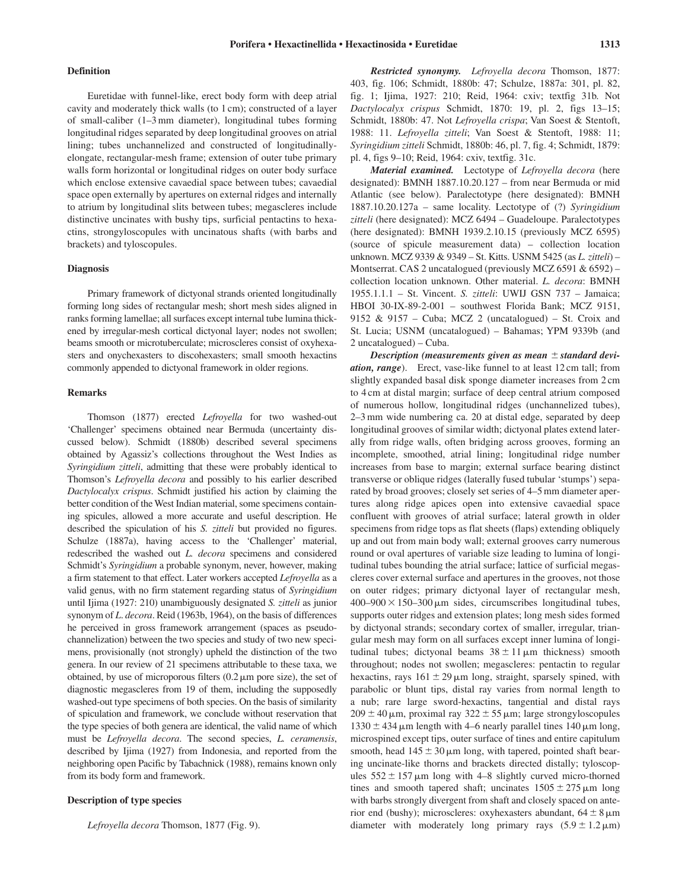# **Definition**

Euretidae with funnel-like, erect body form with deep atrial cavity and moderately thick walls (to 1 cm); constructed of a layer of small-caliber (1–3 mm diameter), longitudinal tubes forming longitudinal ridges separated by deep longitudinal grooves on atrial lining; tubes unchannelized and constructed of longitudinallyelongate, rectangular-mesh frame; extension of outer tube primary walls form horizontal or longitudinal ridges on outer body surface which enclose extensive cavaedial space between tubes; cavaedial space open externally by apertures on external ridges and internally to atrium by longitudinal slits between tubes; megascleres include distinctive uncinates with bushy tips, surficial pentactins to hexactins, strongyloscopules with uncinatous shafts (with barbs and brackets) and tyloscopules.

#### **Diagnosis**

Primary framework of dictyonal strands oriented longitudinally forming long sides of rectangular mesh; short mesh sides aligned in ranks forming lamellae; all surfaces except internal tube lumina thickened by irregular-mesh cortical dictyonal layer; nodes not swollen; beams smooth or microtuberculate; microscleres consist of oxyhexasters and onychexasters to discohexasters; small smooth hexactins commonly appended to dictyonal framework in older regions.

# **Remarks**

Thomson (1877) erected *Lefroyella* for two washed-out 'Challenger' specimens obtained near Bermuda (uncertainty discussed below). Schmidt (1880b) described several specimens obtained by Agassiz's collections throughout the West Indies as *Syringidium zitteli*, admitting that these were probably identical to Thomson's *Lefroyella decora* and possibly to his earlier described *Dactylocalyx crispus*. Schmidt justified his action by claiming the better condition of the West Indian material, some specimens containing spicules, allowed a more accurate and useful description. He described the spiculation of his *S. zitteli* but provided no figures. Schulze (1887a), having access to the 'Challenger' material, redescribed the washed out *L. decora* specimens and considered Schmidt's *Syringidium* a probable synonym, never, however, making a firm statement to that effect. Later workers accepted *Lefroyella* as a valid genus, with no firm statement regarding status of *Syringidium* until Ijima (1927: 210) unambiguously designated *S. zitteli* as junior synonym of *L*. *decora*. Reid (1963b, 1964), on the basis of differences he perceived in gross framework arrangement (spaces as pseudochannelization) between the two species and study of two new specimens, provisionally (not strongly) upheld the distinction of the two genera. In our review of 21 specimens attributable to these taxa, we obtained, by use of microporous filters  $(0.2 \mu m)$  pore size), the set of diagnostic megascleres from 19 of them, including the supposedly washed-out type specimens of both species. On the basis of similarity of spiculation and framework, we conclude without reservation that the type species of both genera are identical, the valid name of which must be *Lefroyella decora*. The second species, *L. ceramensis*, described by Ijima (1927) from Indonesia, and reported from the neighboring open Pacific by Tabachnick (1988), remains known only from its body form and framework.

# **Description of type species**

*Lefroyella decora* Thomson, 1877 (Fig. 9).

*Restricted synonymy. Lefroyella decora* Thomson, 1877: 403, fig. 106; Schmidt, 1880b: 47; Schulze, 1887a: 301, pl. 82, fig. 1; Ijima, 1927: 210; Reid, 1964: cxiv; textfig 31b. Not *Dactylocalyx crispus* Schmidt, 1870: 19, pl. 2, figs 13–15; Schmidt, 1880b: 47. Not *Lefroyella crispa*; Van Soest & Stentoft, 1988: 11. *Lefroyella zitteli*; Van Soest & Stentoft, 1988: 11; *Syringidium zitteli* Schmidt, 1880b: 46, pl. 7, fig. 4; Schmidt, 1879: pl. 4, figs 9–10; Reid, 1964: cxiv, textfig. 31c.

*Material examined.* Lectotype of *Lefroyella decora* (here designated): BMNH 1887.10.20.127 – from near Bermuda or mid Atlantic (see below). Paralectotype (here designated): BMNH 1887.10.20.127a – same locality. Lectotype of (?) *Syringidium zitteli* (here designated): MCZ 6494 – Guadeloupe. Paralectotypes (here designated): BMNH 1939.2.10.15 (previously MCZ 6595) (source of spicule measurement data) – collection location unknown. MCZ 9339 & 9349 – St. Kitts. USNM 5425 (as *L. zitteli*) – Montserrat. CAS 2 uncatalogued (previously MCZ 6591 & 6592) – collection location unknown. Other material. *L. decora*: BMNH 1955.1.1.1 – St. Vincent. *S. zitteli*: UWIJ GSN 737 – Jamaica; HBOI 30-IX-89-2-001 – southwest Florida Bank; MCZ 9151, 9152 & 9157 – Cuba; MCZ 2 (uncatalogued) – St. Croix and St. Lucia; USNM (uncatalogued) – Bahamas; YPM 9339b (and 2 uncatalogued) – Cuba.

*Description (measurements given as mean*  $\pm$  *standard deviation, range*). Erect, vase-like funnel to at least 12 cm tall; from slightly expanded basal disk sponge diameter increases from 2 cm to 4 cm at distal margin; surface of deep central atrium composed of numerous hollow, longitudinal ridges (unchannelized tubes), 2–3 mm wide numbering ca. 20 at distal edge, separated by deep longitudinal grooves of similar width; dictyonal plates extend laterally from ridge walls, often bridging across grooves, forming an incomplete, smoothed, atrial lining; longitudinal ridge number increases from base to margin; external surface bearing distinct transverse or oblique ridges (laterally fused tubular 'stumps') separated by broad grooves; closely set series of 4–5 mm diameter apertures along ridge apices open into extensive cavaedial space confluent with grooves of atrial surface; lateral growth in older specimens from ridge tops as flat sheets (flaps) extending obliquely up and out from main body wall; external grooves carry numerous round or oval apertures of variable size leading to lumina of longitudinal tubes bounding the atrial surface; lattice of surficial megascleres cover external surface and apertures in the grooves, not those on outer ridges; primary dictyonal layer of rectangular mesh,  $400-900 \times 150-300 \,\mu m$  sides, circumscribes longitudinal tubes, supports outer ridges and extension plates; long mesh sides formed by dictyonal strands; secondary cortex of smaller, irregular, triangular mesh may form on all surfaces except inner lumina of longitudinal tubes; dictyonal beams  $38 \pm 11 \,\mu m$  thickness) smooth throughout; nodes not swollen; megascleres: pentactin to regular hexactins, rays  $161 \pm 29 \,\mu m$  long, straight, sparsely spined, with parabolic or blunt tips, distal ray varies from normal length to a nub; rare large sword-hexactins, tangential and distal rays  $209 \pm 40 \,\mu$ m, proximal ray  $322 \pm 55 \,\mu$ m; large strongyloscopules  $1330 \pm 434$  µm length with 4–6 nearly parallel tines 140 µm long, microspined except tips, outer surface of tines and entire capitulum smooth, head  $145 \pm 30 \,\mu m$  long, with tapered, pointed shaft bearing uncinate-like thorns and brackets directed distally; tyloscopules  $552 \pm 157 \,\mu m$  long with 4–8 slightly curved micro-thorned tines and smooth tapered shaft; uncinates  $1505 \pm 275 \,\mu m$  long with barbs strongly divergent from shaft and closely spaced on anterior end (bushy); microscleres: oxyhexasters abundant,  $64 \pm 8 \,\mu m$ diameter with moderately long primary rays  $(5.9 \pm 1.2 \,\mu\text{m})$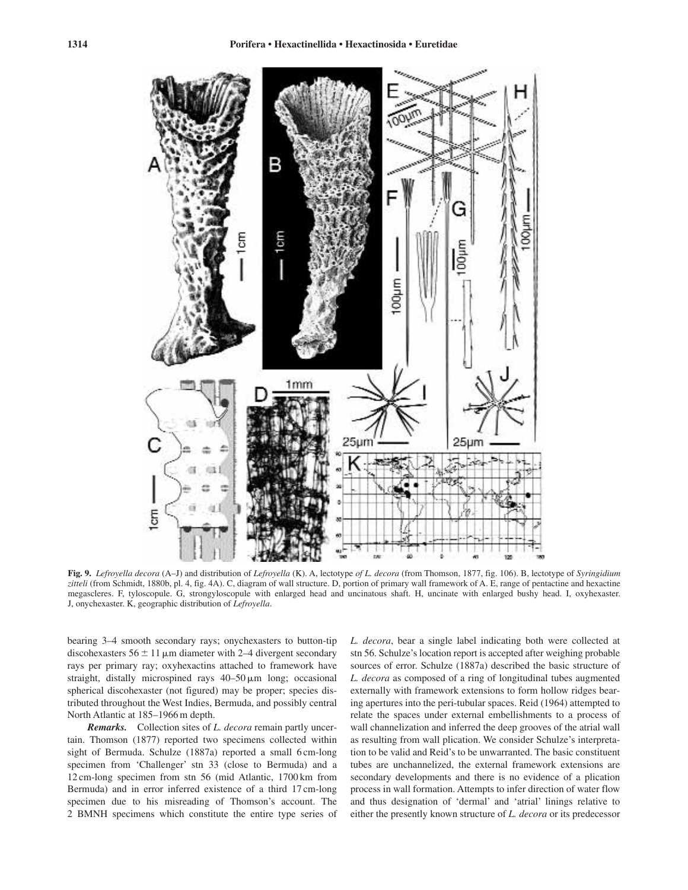![](_page_13_Figure_2.jpeg)

**Fig. 9.** *Lefroyella decora* (A–J) and distribution of *Lefroyella* (K). A, lectotype *of L. decora* (from Thomson, 1877, fig. 106). B, lectotype of *Syringidium zitteli* (from Schmidt, 1880b, pl. 4, fig. 4A). C, diagram of wall structure. D, portion of primary wall framework of A. E, range of pentactine and hexactine megascleres. F, tyloscopule. G, strongyloscopule with enlarged head and uncinatous shaft. H, uncinate with enlarged bushy head. I, oxyhexaster. J, onychexaster. K, geographic distribution of *Lefroyella*.

bearing 3–4 smooth secondary rays; onychexasters to button-tip discohexasters  $56 \pm 11 \,\mu m$  diameter with 2–4 divergent secondary rays per primary ray; oxyhexactins attached to framework have straight, distally microspined rays  $40-50 \,\mu m$  long; occasional spherical discohexaster (not figured) may be proper; species distributed throughout the West Indies, Bermuda, and possibly central North Atlantic at 185–1966 m depth.

*Remarks.* Collection sites of *L. decora* remain partly uncertain. Thomson (1877) reported two specimens collected within sight of Bermuda. Schulze (1887a) reported a small 6 cm-long specimen from 'Challenger' stn 33 (close to Bermuda) and a 12 cm-long specimen from stn 56 (mid Atlantic, 1700 km from Bermuda) and in error inferred existence of a third 17 cm-long specimen due to his misreading of Thomson's account. The 2 BMNH specimens which constitute the entire type series of *L. decora*, bear a single label indicating both were collected at stn 56. Schulze's location report is accepted after weighing probable sources of error. Schulze (1887a) described the basic structure of *L. decora* as composed of a ring of longitudinal tubes augmented externally with framework extensions to form hollow ridges bearing apertures into the peri-tubular spaces. Reid (1964) attempted to relate the spaces under external embellishments to a process of wall channelization and inferred the deep grooves of the atrial wall as resulting from wall plication. We consider Schulze's interpretation to be valid and Reid's to be unwarranted. The basic constituent tubes are unchannelized, the external framework extensions are secondary developments and there is no evidence of a plication process in wall formation. Attempts to infer direction of water flow and thus designation of 'dermal' and 'atrial' linings relative to either the presently known structure of *L. decora* or its predecessor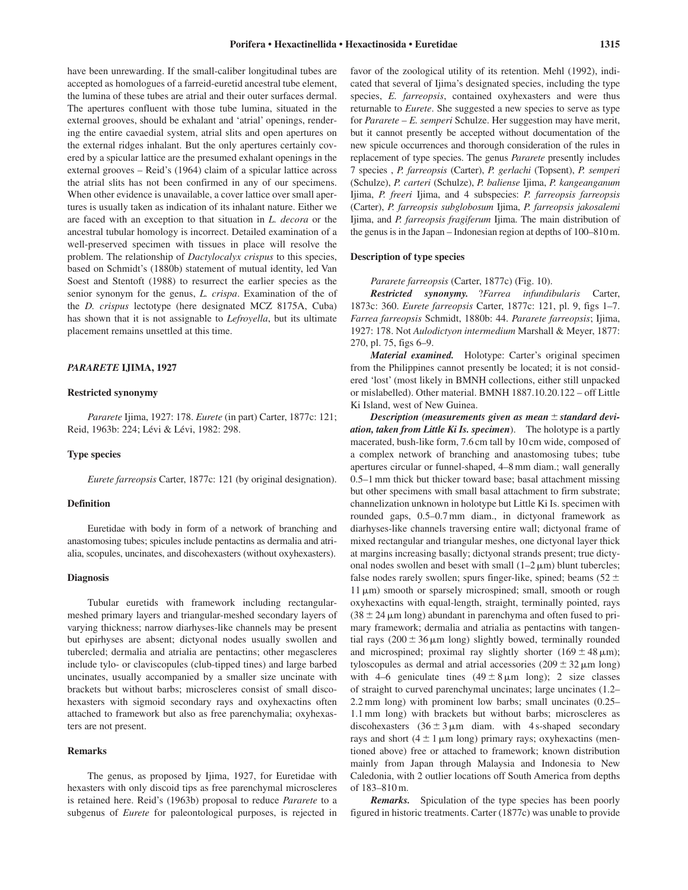have been unrewarding. If the small-caliber longitudinal tubes are accepted as homologues of a farreid-euretid ancestral tube element, the lumina of these tubes are atrial and their outer surfaces dermal. The apertures confluent with those tube lumina, situated in the external grooves, should be exhalant and 'atrial' openings, rendering the entire cavaedial system, atrial slits and open apertures on the external ridges inhalant. But the only apertures certainly covered by a spicular lattice are the presumed exhalant openings in the external grooves – Reid's (1964) claim of a spicular lattice across the atrial slits has not been confirmed in any of our specimens. When other evidence is unavailable, a cover lattice over small apertures is usually taken as indication of its inhalant nature. Either we are faced with an exception to that situation in *L. decora* or the ancestral tubular homology is incorrect. Detailed examination of a well-preserved specimen with tissues in place will resolve the problem. The relationship of *Dactylocalyx crispus* to this species, based on Schmidt's (1880b) statement of mutual identity, led Van Soest and Stentoft (1988) to resurrect the earlier species as the senior synonym for the genus, *L. crispa*. Examination of the of the *D. crispus* lectotype (here designated MCZ 8175A, Cuba) has shown that it is not assignable to *Lefroyella*, but its ultimate placement remains unsettled at this time.

# *PARARETE* **IJIMA, 1927**

# **Restricted synonymy**

*Pararete* Ijima, 1927: 178. *Eurete* (in part) Carter, 1877c: 121; Reid, 1963b: 224; Lévi & Lévi, 1982: 298.

# **Type species**

*Eurete farreopsis* Carter, 1877c: 121 (by original designation).

### **Definition**

Euretidae with body in form of a network of branching and anastomosing tubes; spicules include pentactins as dermalia and atrialia, scopules, uncinates, and discohexasters (without oxyhexasters).

# **Diagnosis**

Tubular euretids with framework including rectangularmeshed primary layers and triangular-meshed secondary layers of varying thickness; narrow diarhyses-like channels may be present but epirhyses are absent; dictyonal nodes usually swollen and tubercled; dermalia and atrialia are pentactins; other megascleres include tylo- or claviscopules (club-tipped tines) and large barbed uncinates, usually accompanied by a smaller size uncinate with brackets but without barbs; microscleres consist of small discohexasters with sigmoid secondary rays and oxyhexactins often attached to framework but also as free parenchymalia; oxyhexasters are not present.

# **Remarks**

The genus, as proposed by Ijima, 1927, for Euretidae with hexasters with only discoid tips as free parenchymal microscleres is retained here. Reid's (1963b) proposal to reduce *Pararete* to a subgenus of *Eurete* for paleontological purposes, is rejected in

favor of the zoological utility of its retention. Mehl (1992), indicated that several of Ijima's designated species, including the type species, *E. farreopsis*, contained oxyhexasters and were thus returnable to *Eurete*. She suggested a new species to serve as type for *Pararete* – *E. semperi* Schulze. Her suggestion may have merit, but it cannot presently be accepted without documentation of the new spicule occurrences and thorough consideration of the rules in replacement of type species. The genus *Pararete* presently includes 7 species , *P. farreopsis* (Carter), *P. gerlachi* (Topsent), *P. semperi* (Schulze), *P. carteri* (Schulze), *P. baliense* Ijima, *P. kangeanganum* Ijima, *P. freeri* Ijima, and 4 subspecies: *P. farreopsis farreopsis* (Carter), *P. farreopsis subglobosum* Ijima, *P. farreopsis jakosalemi* Ijima, and *P. farreopsis fragiferum* Ijima. The main distribution of the genus is in the Japan – Indonesian region at depths of 100–810 m.

#### **Description of type species**

*Pararete farreopsis* (Carter, 1877c) (Fig. 10).

*Restricted synonymy.* ?*Farrea infundibularis* Carter, 1873c: 360. *Eurete farreopsis* Carter, 1877c: 121, pl. 9, figs 1–7. *Farrea farreopsis* Schmidt, 1880b: 44. *Pararete farreopsis*; Ijima, 1927: 178. Not *Aulodictyon intermedium* Marshall & Meyer, 1877: 270, pl. 75, figs 6–9.

*Material examined.* Holotype: Carter's original specimen from the Philippines cannot presently be located; it is not considered 'lost' (most likely in BMNH collections, either still unpacked or mislabelled). Other material. BMNH 1887.10.20.122 – off Little Ki Island, west of New Guinea.

*Description (measurements given as mean standard deviation, taken from Little Ki Is. specimen*). The holotype is a partly macerated, bush-like form, 7.6 cm tall by 10 cm wide, composed of a complex network of branching and anastomosing tubes; tube apertures circular or funnel-shaped, 4–8 mm diam.; wall generally 0.5–1 mm thick but thicker toward base; basal attachment missing but other specimens with small basal attachment to firm substrate; channelization unknown in holotype but Little Ki Is. specimen with rounded gaps, 0.5–0.7 mm diam., in dictyonal framework as diarhyses-like channels traversing entire wall; dictyonal frame of mixed rectangular and triangular meshes, one dictyonal layer thick at margins increasing basally; dictyonal strands present; true dictyonal nodes swollen and beset with small  $(1-2 \mu m)$  blunt tubercles; false nodes rarely swollen; spurs finger-like, spined; beams  $(52 \pm 1)$ 11 μm) smooth or sparsely microspined; small, smooth or rough oxyhexactins with equal-length, straight, terminally pointed, rays  $(38 \pm 24 \,\mu m)$  long) abundant in parenchyma and often fused to primary framework; dermalia and atrialia as pentactins with tangential rays  $(200 \pm 36 \,\mu\text{m}$  long) slightly bowed, terminally rounded and microspined; proximal ray slightly shorter  $(169 \pm 48 \,\mu m)$ ; tyloscopules as dermal and atrial accessories  $(209 \pm 32 \,\mu m \text{ long})$ with 4–6 geniculate tines  $(49 \pm 8 \,\mu \text{m}$  long); 2 size classes of straight to curved parenchymal uncinates; large uncinates (1.2– 2.2 mm long) with prominent low barbs; small uncinates (0.25– 1.1 mm long) with brackets but without barbs; microscleres as discohexasters  $(36 \pm 3 \,\mu \text{m})$  diam. with 4 s-shaped secondary rays and short  $(4 \pm 1 \,\mu m \text{ long})$  primary rays; oxyhexactins (mentioned above) free or attached to framework; known distribution mainly from Japan through Malaysia and Indonesia to New Caledonia, with 2 outlier locations off South America from depths of 183–810 m.

*Remarks.* Spiculation of the type species has been poorly figured in historic treatments. Carter (1877c) was unable to provide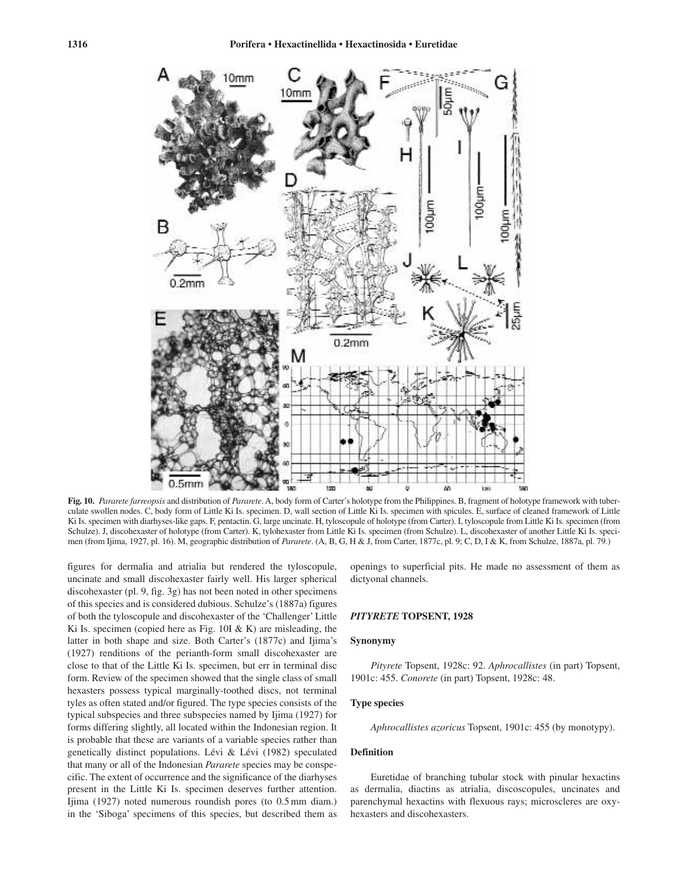![](_page_15_Figure_1.jpeg)

**Fig. 10.** *Pararete farreopsis* and distribution of *Pararete*. A, body form of Carter's holotype from the Philippines. B, fragment of holotype framework with tuberculate swollen nodes. C, body form of Little Ki Is. specimen. D, wall section of Little Ki Is. specimen with spicules. E, surface of cleaned framework of Little Ki Is. specimen with diarhyses-like gaps. F, pentactin. G, large uncinate. H, tyloscopule of holotype (from Carter). I, tyloscopule from Little Ki Is. specimen (from Schulze). J, discohexaster of holotype (from Carter). K, tylohexaster from Little Ki Is. specimen (from Schulze). L, discohexaster of another Little Ki Is. specimen (from Ijima, 1927, pl. 16). M, geographic distribution of *Pararete*. (A, B, G, H & J, from Carter, 1877c, pl. 9; C, D, I & K, from Schulze, 1887a, pl. 79.)

figures for dermalia and atrialia but rendered the tyloscopule, uncinate and small discohexaster fairly well. His larger spherical discohexaster (pl. 9, fig. 3g) has not been noted in other specimens of this species and is considered dubious. Schulze's (1887a) figures of both the tyloscopule and discohexaster of the 'Challenger' Little Ki Is. specimen (copied here as Fig.  $10I \& K$ ) are misleading, the latter in both shape and size. Both Carter's (1877c) and Ijima's (1927) renditions of the perianth-form small discohexaster are close to that of the Little Ki Is. specimen, but err in terminal disc form. Review of the specimen showed that the single class of small hexasters possess typical marginally-toothed discs, not terminal tyles as often stated and/or figured. The type species consists of the typical subspecies and three subspecies named by Ijima (1927) for forms differing slightly, all located within the Indonesian region. It is probable that these are variants of a variable species rather than genetically distinct populations. Lévi & Lévi (1982) speculated that many or all of the Indonesian *Pararete* species may be conspecific. The extent of occurrence and the significance of the diarhyses present in the Little Ki Is. specimen deserves further attention. Ijima (1927) noted numerous roundish pores (to 0.5 mm diam.) in the 'Siboga' specimens of this species, but described them as

openings to superficial pits. He made no assessment of them as dictyonal channels.

### *PITYRETE* **TOPSENT, 1928**

### **Synonymy**

*Pityrete* Topsent, 1928c: 92. *Aphrocallistes* (in part) Topsent, 1901c: 455. *Conorete* (in part) Topsent, 1928c: 48.

# **Type species**

*Aphrocallistes azoricus* Topsent, 1901c: 455 (by monotypy).

### **Definition**

Euretidae of branching tubular stock with pinular hexactins as dermalia, diactins as atrialia, discoscopules, uncinates and parenchymal hexactins with flexuous rays; microscleres are oxyhexasters and discohexasters.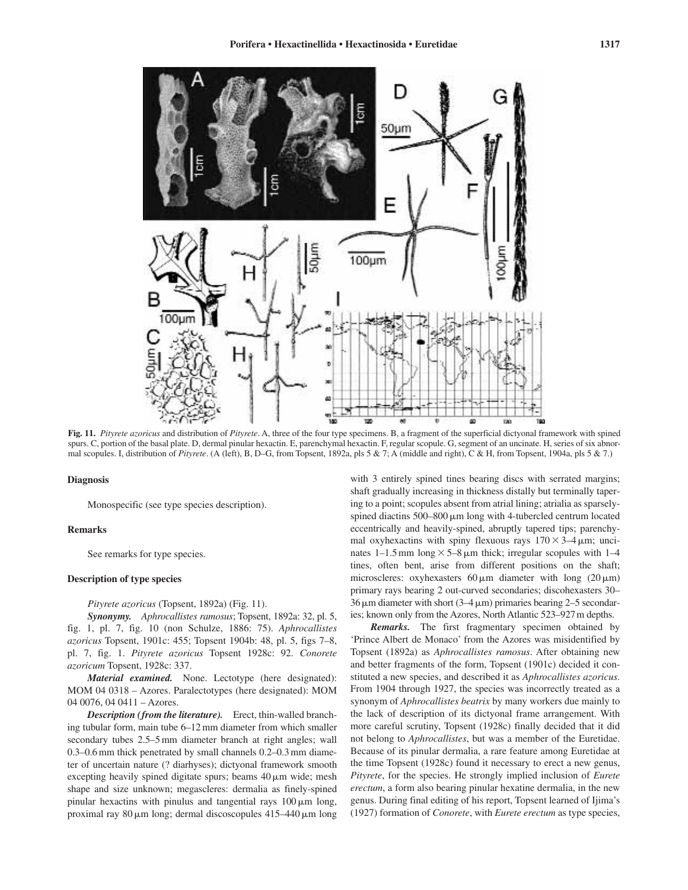![](_page_16_Figure_1.jpeg)

**Fig. 11.** *Pityrete azoricus* and distribution of *Pityrete*. A, three of the four type specimens. B, a fragment of the superficial dictyonal framework with spined spurs. C, portion of the basal plate. D, dermal pinular hexactin. E, parenchymal hexactin. F, regular scopule. G, segment of an uncinate. H, series of six abnormal scopules. I, distribution of *Pityrete*. (A (left), B, D–G, from Topsent, 1892a, pls 5 & 7; A (middle and right), C & H, from Topsent, 1904a, pls 5 & 7.)

# **Diagnosis**

Monospecific (see type species description).

### **Remarks**

See remarks for type species.

# **Description of type species**

*Pityrete azoricus* (Topsent, 1892a) (Fig. 11).

*Synonymy. Aphrocallistes ramosus*; Topsent, 1892a: 32, pl. 5, fig. 1, pl. 7, fig. 10 (non Schulze, 1886: 75). *Aphrocallistes azoricus* Topsent, 1901c: 455; Topsent 1904b: 48, pl. 5, figs 7–8, pl. 7, fig. 1. *Pityrete azoricus* Topsent 1928c: 92. *Conorete azoricum* Topsent, 1928c: 337.

*Material examined.* None. Lectotype (here designated): MOM 04 0318 – Azores. Paralectotypes (here designated): MOM 04 0076, 04 0411 – Azores.

*Description (from the literature).* Erect, thin-walled branching tubular form, main tube 6–12 mm diameter from which smaller secondary tubes 2.5–5 mm diameter branch at right angles; wall 0.3–0.6 mm thick penetrated by small channels 0.2–0.3 mm diameter of uncertain nature (? diarhyses); dictyonal framework smooth excepting heavily spined digitate spurs; beams  $40 \mu m$  wide; mesh shape and size unknown; megascleres: dermalia as finely-spined pinular hexactins with pinulus and tangential rays  $100 \,\mu m$  long, proximal ray 80  $\mu$ m long; dermal discoscopules 415–440  $\mu$ m long

with 3 entirely spined tines bearing discs with serrated margins; shaft gradually increasing in thickness distally but terminally tapering to a point; scopules absent from atrial lining; atrialia as sparselyspined diactins  $500-800 \mu m$  long with 4-tubercled centrum located eccentrically and heavily-spined, abruptly tapered tips; parenchymal oxyhexactins with spiny flexuous rays  $170 \times 3-4 \,\mu m$ ; uncinates  $1-1.5$  mm long  $\times$  5–8  $\mu$ m thick; irregular scopules with 1–4 tines, often bent, arise from different positions on the shaft; microscleres: oxyhexasters  $60 \mu m$  diameter with long  $(20 \mu m)$ primary rays bearing 2 out-curved secondaries; discohexasters 30–  $36 \,\mu\text{m}$  diameter with short  $(3-4 \,\mu\text{m})$  primaries bearing  $2-5$  secondaries; known only from the Azores, North Atlantic 523–927m depths.

*Remarks.* The first fragmentary specimen obtained by 'Prince Albert de Monaco' from the Azores was misidentified by Topsent (1892a) as *Aphrocallistes ramosus*. After obtaining new and better fragments of the form, Topsent (1901c) decided it constituted a new species, and described it as *Aphrocallistes azoricus*. From 1904 through 1927, the species was incorrectly treated as a synonym of *Aphrocallistes beatrix* by many workers due mainly to the lack of description of its dictyonal frame arrangement. With more careful scrutiny, Topsent (1928c) finally decided that it did not belong to *Aphrocallistes*, but was a member of the Euretidae. Because of its pinular dermalia, a rare feature among Euretidae at the time Topsent (1928c) found it necessary to erect a new genus, *Pityrete*, for the species. He strongly implied inclusion of *Eurete erectum*, a form also bearing pinular hexatine dermalia, in the new genus. During final editing of his report, Topsent learned of Ijima's (1927) formation of *Conorete*, with *Eurete erectum* as type species,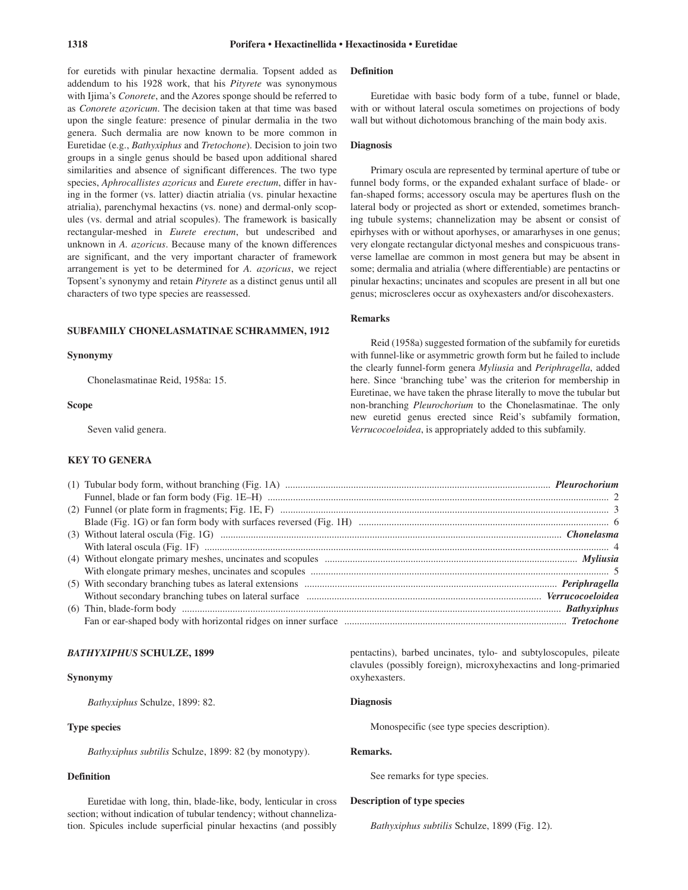for euretids with pinular hexactine dermalia. Topsent added as addendum to his 1928 work, that his *Pityrete* was synonymous with Ijima's *Conorete*, and the Azores sponge should be referred to as *Conorete azoricum*. The decision taken at that time was based upon the single feature: presence of pinular dermalia in the two genera. Such dermalia are now known to be more common in Euretidae (e.g., *Bathyxiphus* and *Tretochone*). Decision to join two groups in a single genus should be based upon additional shared similarities and absence of significant differences. The two type species, *Aphrocallistes azoricus* and *Eurete erectum*, differ in having in the former (vs. latter) diactin atrialia (vs. pinular hexactine atrialia), parenchymal hexactins (vs. none) and dermal-only scopules (vs. dermal and atrial scopules). The framework is basically rectangular-meshed in *Eurete erectum*, but undescribed and unknown in *A. azoricus*. Because many of the known differences are significant, and the very important character of framework arrangement is yet to be determined for *A. azoricus*, we reject Topsent's synonymy and retain *Pityrete* as a distinct genus until all characters of two type species are reassessed.

# **SUBFAMILY CHONELASMATINAE SCHRAMMEN, 1912**

#### **Synonymy**

Chonelasmatinae Reid, 1958a: 15.

# **Scope**

Seven valid genera.

# **KEY TO GENERA**

# **Definition**

Euretidae with basic body form of a tube, funnel or blade, with or without lateral oscula sometimes on projections of body wall but without dichotomous branching of the main body axis.

# **Diagnosis**

Primary oscula are represented by terminal aperture of tube or funnel body forms, or the expanded exhalant surface of blade- or fan-shaped forms; accessory oscula may be apertures flush on the lateral body or projected as short or extended, sometimes branching tubule systems; channelization may be absent or consist of epirhyses with or without aporhyses, or amararhyses in one genus; very elongate rectangular dictyonal meshes and conspicuous transverse lamellae are common in most genera but may be absent in some; dermalia and atrialia (where differentiable) are pentactins or pinular hexactins; uncinates and scopules are present in all but one genus; microscleres occur as oxyhexasters and/or discohexasters.

# **Remarks**

Reid (1958a) suggested formation of the subfamily for euretids with funnel-like or asymmetric growth form but he failed to include the clearly funnel-form genera *Myliusia* and *Periphragella*, added here. Since 'branching tube' was the criterion for membership in Euretinae, we have taken the phrase literally to move the tubular but non-branching *Pleurochorium* to the Chonelasmatinae. The only new euretid genus erected since Reid's subfamily formation, *Verrucocoeloidea*, is appropriately added to this subfamily.

| $(2)$ Funnel (or plate form in fragments; Fig. 1E, F) $\ldots$ $\ldots$ $\ldots$ $\ldots$ $\ldots$ $\ldots$ $\ldots$ $\ldots$ $\ldots$ $\ldots$ $\ldots$ $\ldots$ $\ldots$ $\ldots$ $\ldots$ $\ldots$ $\ldots$ $\ldots$ $\ldots$ $\ldots$ $\ldots$ $\ldots$ $\ldots$ |  |
|----------------------------------------------------------------------------------------------------------------------------------------------------------------------------------------------------------------------------------------------------------------------|--|
|                                                                                                                                                                                                                                                                      |  |
|                                                                                                                                                                                                                                                                      |  |
|                                                                                                                                                                                                                                                                      |  |
|                                                                                                                                                                                                                                                                      |  |
|                                                                                                                                                                                                                                                                      |  |
|                                                                                                                                                                                                                                                                      |  |
|                                                                                                                                                                                                                                                                      |  |
|                                                                                                                                                                                                                                                                      |  |
|                                                                                                                                                                                                                                                                      |  |
|                                                                                                                                                                                                                                                                      |  |

### *BATHYXIPHUS* **SCHULZE, 1899**

# **Synonymy**

*Bathyxiphus* Schulze, 1899: 82.

# **Type species**

*Bathyxiphus subtilis* Schulze, 1899: 82 (by monotypy).

# **Definition**

Euretidae with long, thin, blade-like, body, lenticular in cross section; without indication of tubular tendency; without channelization. Spicules include superficial pinular hexactins (and possibly

pentactins), barbed uncinates, tylo- and subtyloscopules, pileate clavules (possibly foreign), microxyhexactins and long-primaried oxyhexasters.

# **Diagnosis**

Monospecific (see type species description).

### **Remarks.**

See remarks for type species.

# **Description of type species**

*Bathyxiphus subtilis* Schulze, 1899 (Fig. 12).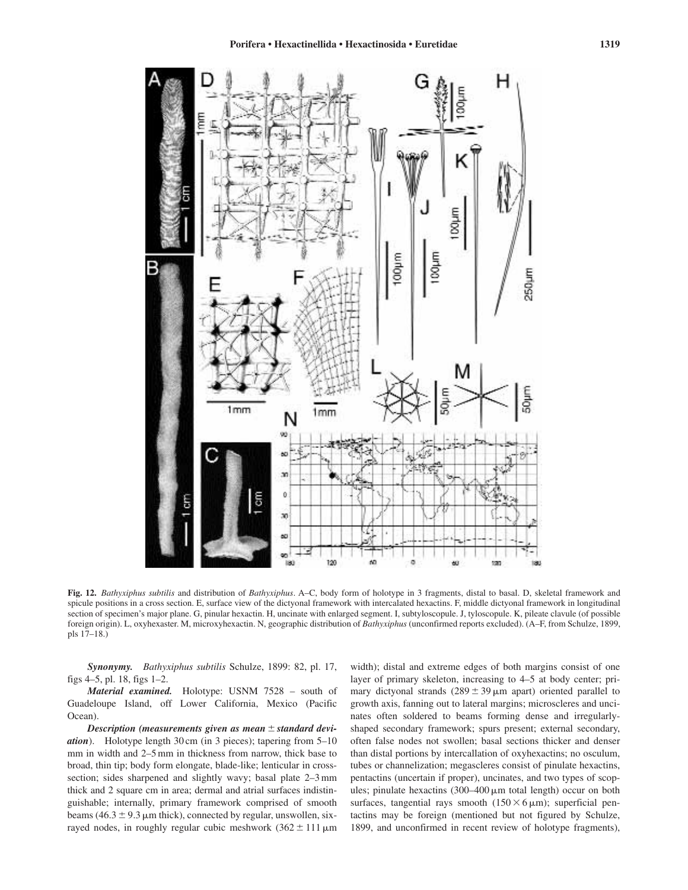![](_page_18_Figure_1.jpeg)

**Fig. 12.** *Bathyxiphus subtilis* and distribution of *Bathyxiphus*. A–C, body form of holotype in 3 fragments, distal to basal. D, skeletal framework and spicule positions in a cross section. E, surface view of the dictyonal framework with intercalated hexactins. F, middle dictyonal framework in longitudinal section of specimen's major plane. G, pinular hexactin. H, uncinate with enlarged segment. I, subtyloscopule. J, tyloscopule. K, pileate clavule (of possible foreign origin). L, oxyhexaster. M, microxyhexactin. N, geographic distribution of *Bathyxiphus* (unconfirmed reports excluded). (A–F, from Schulze, 1899, pls 17–18.)

*Synonymy. Bathyxiphus subtilis* Schulze, 1899: 82, pl. 17, figs 4–5, pl. 18, figs 1–2.

*Material examined.* Holotype: USNM 7528 – south of Guadeloupe Island, off Lower California, Mexico (Pacific Ocean).

Description (measurements given as mean  $\pm$  standard devi*ation*). Holotype length 30 cm (in 3 pieces); tapering from 5–10 mm in width and 2–5 mm in thickness from narrow, thick base to broad, thin tip; body form elongate, blade-like; lenticular in crosssection; sides sharpened and slightly wavy; basal plate 2–3 mm thick and 2 square cm in area; dermal and atrial surfaces indistinguishable; internally, primary framework comprised of smooth beams  $(46.3 \pm 9.3 \,\mu\text{m}$  thick), connected by regular, unswollen, sixrayed nodes, in roughly regular cubic meshwork  $(362 \pm 111 \,\mu m)$ 

width); distal and extreme edges of both margins consist of one layer of primary skeleton, increasing to 4–5 at body center; primary dictyonal strands  $(289 \pm 39 \,\mu m)$  apart) oriented parallel to growth axis, fanning out to lateral margins; microscleres and uncinates often soldered to beams forming dense and irregularlyshaped secondary framework; spurs present; external secondary, often false nodes not swollen; basal sections thicker and denser than distal portions by intercallation of oxyhexactins; no osculum, tubes or channelization; megascleres consist of pinulate hexactins, pentactins (uncertain if proper), uncinates, and two types of scopules; pinulate hexactins (300–400  $\mu$ m total length) occur on both surfaces, tangential rays smooth  $(150 \times 6 \mu m)$ ; superficial pentactins may be foreign (mentioned but not figured by Schulze, 1899, and unconfirmed in recent review of holotype fragments),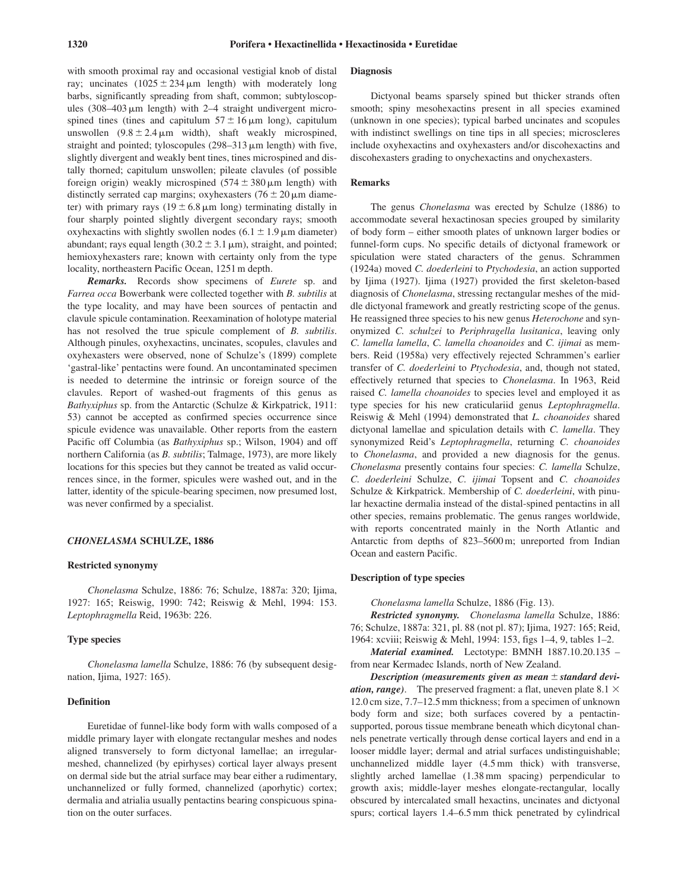with smooth proximal ray and occasional vestigial knob of distal ray; uncinates  $(1025 \pm 234 \,\mu\text{m}$  length) with moderately long barbs, significantly spreading from shaft, common; subtyloscopules  $(308-403 \,\mu m)$  length) with 2-4 straight undivergent microspined tines (tines and capitulum  $57 \pm 16 \,\mu m$  long), capitulum unswollen  $(9.8 \pm 2.4 \,\mu\text{m}$  width), shaft weakly microspined, straight and pointed; tyloscopules (298-313  $\mu$ m length) with five, slightly divergent and weakly bent tines, tines microspined and distally thorned; capitulum unswollen; pileate clavules (of possible foreign origin) weakly microspined  $(574 \pm 380 \,\mu m)$  length) with distinctly serrated cap margins; oxyhexasters  $(76 \pm 20 \,\mu m)$  diameter) with primary rays  $(19 \pm 6.8 \,\mu m)$  long) terminating distally in four sharply pointed slightly divergent secondary rays; smooth oxyhexactins with slightly swollen nodes  $(6.1 \pm 1.9 \,\mu m)$  diameter) abundant; rays equal length  $(30.2 \pm 3.1 \,\mu\text{m})$ , straight, and pointed; hemioxyhexasters rare; known with certainty only from the type locality, northeastern Pacific Ocean, 1251 m depth.

*Remarks.* Records show specimens of *Eurete* sp. and *Farrea occa* Bowerbank were collected together with *B. subtilis* at the type locality, and may have been sources of pentactin and clavule spicule contamination. Reexamination of holotype material has not resolved the true spicule complement of *B. subtilis*. Although pinules, oxyhexactins, uncinates, scopules, clavules and oxyhexasters were observed, none of Schulze's (1899) complete 'gastral-like' pentactins were found. An uncontaminated specimen is needed to determine the intrinsic or foreign source of the clavules. Report of washed-out fragments of this genus as *Bathyxiphus* sp. from the Antarctic (Schulze & Kirkpatrick, 1911: 53) cannot be accepted as confirmed species occurrence since spicule evidence was unavailable. Other reports from the eastern Pacific off Columbia (as *Bathyxiphus* sp.; Wilson, 1904) and off northern California (as *B. subtilis*; Talmage, 1973), are more likely locations for this species but they cannot be treated as valid occurrences since, in the former, spicules were washed out, and in the latter, identity of the spicule-bearing specimen, now presumed lost, was never confirmed by a specialist.

### *CHONELASMA* **SCHULZE, 1886**

#### **Restricted synonymy**

*Chonelasma* Schulze, 1886: 76; Schulze, 1887a: 320; Ijima, 1927: 165; Reiswig, 1990: 742; Reiswig & Mehl, 1994: 153. *Leptophragmella* Reid, 1963b: 226.

### **Type species**

*Chonelasma lamella* Schulze, 1886: 76 (by subsequent designation, Ijima, 1927: 165).

# **Definition**

Euretidae of funnel-like body form with walls composed of a middle primary layer with elongate rectangular meshes and nodes aligned transversely to form dictyonal lamellae; an irregularmeshed, channelized (by epirhyses) cortical layer always present on dermal side but the atrial surface may bear either a rudimentary, unchannelized or fully formed, channelized (aporhytic) cortex; dermalia and atrialia usually pentactins bearing conspicuous spination on the outer surfaces.

### **Diagnosis**

Dictyonal beams sparsely spined but thicker strands often smooth; spiny mesohexactins present in all species examined (unknown in one species); typical barbed uncinates and scopules with indistinct swellings on tine tips in all species; microscleres include oxyhexactins and oxyhexasters and/or discohexactins and discohexasters grading to onychexactins and onychexasters.

# **Remarks**

The genus *Chonelasma* was erected by Schulze (1886) to accommodate several hexactinosan species grouped by similarity of body form – either smooth plates of unknown larger bodies or funnel-form cups. No specific details of dictyonal framework or spiculation were stated characters of the genus. Schrammen (1924a) moved *C. doederleini* to *Ptychodesia*, an action supported by Ijima (1927). Ijima (1927) provided the first skeleton-based diagnosis of *Chonelasma*, stressing rectangular meshes of the middle dictyonal framework and greatly restricting scope of the genus. He reassigned three species to his new genus *Heterochone* and synonymized *C. schulzei* to *Periphragella lusitanica*, leaving only *C. lamella lamella*, *C. lamella choanoides* and *C. ijimai* as members. Reid (1958a) very effectively rejected Schrammen's earlier transfer of *C. doederleini* to *Ptychodesia*, and, though not stated, effectively returned that species to *Chonelasma*. In 1963, Reid raised *C. lamella choanoides* to species level and employed it as type species for his new craticulariid genus *Leptophragmella*. Reiswig & Mehl (1994) demonstrated that *L. choanoides* shared dictyonal lamellae and spiculation details with *C. lamella*. They synonymized Reid's *Leptophragmella*, returning *C. choanoides* to *Chonelasma*, and provided a new diagnosis for the genus. *Chonelasma* presently contains four species: *C. lamella* Schulze, *C. doederleini* Schulze, *C. ijimai* Topsent and *C. choanoides* Schulze & Kirkpatrick. Membership of *C. doederleini*, with pinular hexactine dermalia instead of the distal-spined pentactins in all other species, remains problematic. The genus ranges worldwide, with reports concentrated mainly in the North Atlantic and Antarctic from depths of 823–5600 m; unreported from Indian Ocean and eastern Pacific.

### **Description of type species**

*Chonelasma lamella* Schulze, 1886 (Fig. 13).

*Restricted synonymy. Chonelasma lamella* Schulze, 1886: 76; Schulze, 1887a: 321, pl. 88 (not pl. 87); Ijima, 1927: 165; Reid, 1964: xcviii; Reiswig & Mehl, 1994: 153, figs 1–4, 9, tables 1–2.

*Material examined.* Lectotype: BMNH 1887.10.20.135 – from near Kermadec Islands, north of New Zealand.

*Description (measurements given as mean*  $\pm$  *standard deviation, range*). The preserved fragment: a flat, uneven plate  $8.1 \times$ 12.0 cm size, 7.7–12.5 mm thickness; from a specimen of unknown body form and size; both surfaces covered by a pentactinsupported, porous tissue membrane beneath which dicytonal channels penetrate vertically through dense cortical layers and end in a looser middle layer; dermal and atrial surfaces undistinguishable; unchannelized middle layer (4.5 mm thick) with transverse, slightly arched lamellae (1.38 mm spacing) perpendicular to growth axis; middle-layer meshes elongate-rectangular, locally obscured by intercalated small hexactins, uncinates and dictyonal spurs; cortical layers 1.4–6.5 mm thick penetrated by cylindrical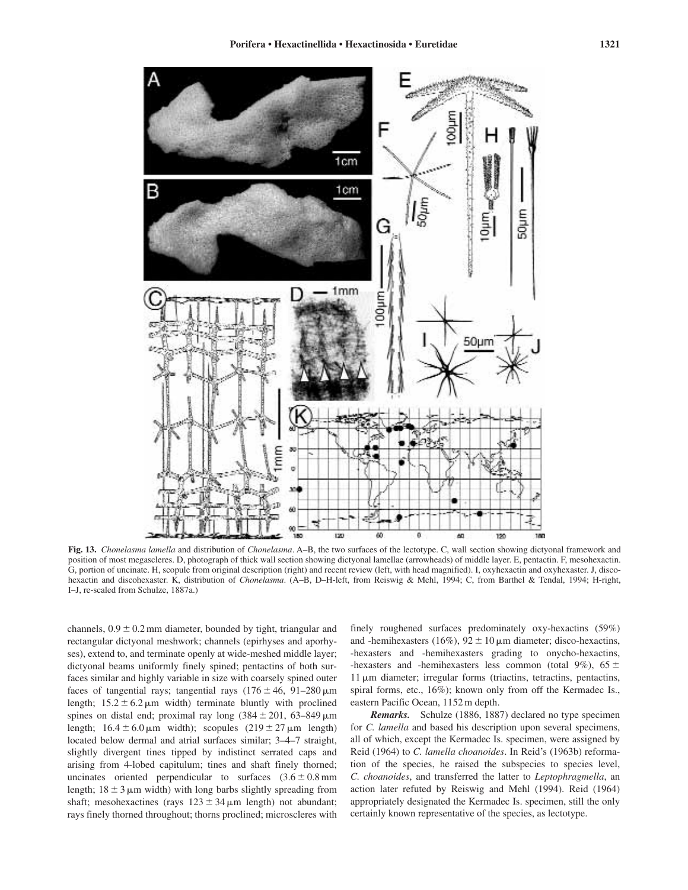![](_page_20_Figure_1.jpeg)

**Fig. 13.** *Chonelasma lamella* and distribution of *Chonelasma*. A–B, the two surfaces of the lectotype. C, wall section showing dictyonal framework and position of most megascleres. D, photograph of thick wall section showing dictyonal lamellae (arrowheads) of middle layer. E, pentactin. F, mesohexactin. G, portion of uncinate. H, scopule from original description (right) and recent review (left, with head magnified). I, oxyhexactin and oxyhexaster. J, discohexactin and discohexaster. K, distribution of *Chonelasma*. (A–B, D–H-left, from Reiswig & Mehl, 1994; C, from Barthel & Tendal, 1994; H-right, I–J, re-scaled from Schulze, 1887a.)

channels,  $0.9 \pm 0.2$  mm diameter, bounded by tight, triangular and rectangular dictyonal meshwork; channels (epirhyses and aporhyses), extend to, and terminate openly at wide-meshed middle layer; dictyonal beams uniformly finely spined; pentactins of both surfaces similar and highly variable in size with coarsely spined outer faces of tangential rays; tangential rays  $(176 \pm 46, 91 - 280 \,\mu m)$ length;  $15.2 \pm 6.2 \,\mu m$  width) terminate bluntly with proclined spines on distal end; proximal ray long  $(384 \pm 201, 63 - 849 \,\mu m)$ length;  $16.4 \pm 6.0 \,\mu \text{m}$  width); scopules  $(219 \pm 27 \,\mu \text{m}$  length) located below dermal and atrial surfaces similar; 3–4–7 straight, slightly divergent tines tipped by indistinct serrated caps and arising from 4-lobed capitulum; tines and shaft finely thorned; uncinates oriented perpendicular to surfaces  $(3.6 \pm 0.8 \text{ mm})$ length;  $18 \pm 3 \mu m$  width) with long barbs slightly spreading from shaft; mesohexactines (rays  $123 \pm 34 \,\mu m$  length) not abundant; rays finely thorned throughout; thorns proclined; microscleres with finely roughened surfaces predominately oxy-hexactins (59%) and -hemihexasters (16%),  $92 \pm 10 \,\mu m$  diameter; disco-hexactins, -hexasters and -hemihexasters grading to onycho-hexactins, -hexasters and -hemihexasters less common (total 9%),  $65 \pm$ 11 µm diameter; irregular forms (triactins, tetractins, pentactins, spiral forms, etc., 16%); known only from off the Kermadec Is., eastern Pacific Ocean, 1152 m depth.

*Remarks.* Schulze (1886, 1887) declared no type specimen for *C. lamella* and based his description upon several specimens, all of which, except the Kermadec Is. specimen, were assigned by Reid (1964) to *C. lamella choanoides*. In Reid's (1963b) reformation of the species, he raised the subspecies to species level, *C. choanoides*, and transferred the latter to *Leptophragmella*, an action later refuted by Reiswig and Mehl (1994). Reid (1964) appropriately designated the Kermadec Is. specimen, still the only certainly known representative of the species, as lectotype.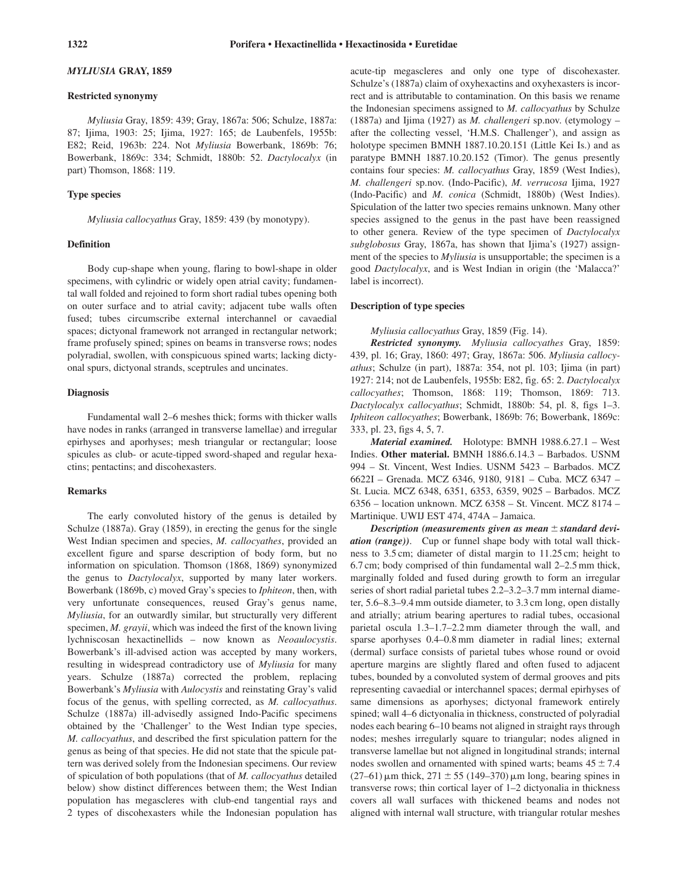# *MYLIUSIA* **GRAY, 1859**

### **Restricted synonymy**

*Myliusia* Gray, 1859: 439; Gray, 1867a: 506; Schulze, 1887a: 87; Ijima, 1903: 25; Ijima, 1927: 165; de Laubenfels, 1955b: E82; Reid, 1963b: 224. Not *Myliusia* Bowerbank, 1869b: 76; Bowerbank, 1869c: 334; Schmidt, 1880b: 52. *Dactylocalyx* (in part) Thomson, 1868: 119.

### **Type species**

*Myliusia callocyathus* Gray, 1859: 439 (by monotypy).

# **Definition**

Body cup-shape when young, flaring to bowl-shape in older specimens, with cylindric or widely open atrial cavity; fundamental wall folded and rejoined to form short radial tubes opening both on outer surface and to atrial cavity; adjacent tube walls often fused; tubes circumscribe external interchannel or cavaedial spaces; dictyonal framework not arranged in rectangular network; frame profusely spined; spines on beams in transverse rows; nodes polyradial, swollen, with conspicuous spined warts; lacking dictyonal spurs, dictyonal strands, sceptrules and uncinates.

# **Diagnosis**

Fundamental wall 2–6 meshes thick; forms with thicker walls have nodes in ranks (arranged in transverse lamellae) and irregular epirhyses and aporhyses; mesh triangular or rectangular; loose spicules as club- or acute-tipped sword-shaped and regular hexactins; pentactins; and discohexasters.

### **Remarks**

The early convoluted history of the genus is detailed by Schulze (1887a). Gray (1859), in erecting the genus for the single West Indian specimen and species, *M. callocyathes*, provided an excellent figure and sparse description of body form, but no information on spiculation. Thomson (1868, 1869) synonymized the genus to *Dactylocalyx*, supported by many later workers. Bowerbank (1869b, c) moved Gray's species to *Iphiteon*, then, with very unfortunate consequences, reused Gray's genus name, *Myliusia*, for an outwardly similar, but structurally very different specimen, *M. grayii*, which was indeed the first of the known living lychniscosan hexactinellids – now known as *Neoaulocystis*. Bowerbank's ill-advised action was accepted by many workers, resulting in widespread contradictory use of *Myliusia* for many years. Schulze (1887a) corrected the problem, replacing Bowerbank's *Myliusia* with *Aulocystis* and reinstating Gray's valid focus of the genus, with spelling corrected, as *M. callocyathus*. Schulze (1887a) ill-advisedly assigned Indo-Pacific specimens obtained by the 'Challenger' to the West Indian type species, *M. callocyathus*, and described the first spiculation pattern for the genus as being of that species. He did not state that the spicule pattern was derived solely from the Indonesian specimens. Our review of spiculation of both populations (that of *M. callocyathus* detailed below) show distinct differences between them; the West Indian population has megascleres with club-end tangential rays and 2 types of discohexasters while the Indonesian population has

acute-tip megascleres and only one type of discohexaster. Schulze's (1887a) claim of oxyhexactins and oxyhexasters is incorrect and is attributable to contamination. On this basis we rename the Indonesian specimens assigned to *M. callocyathus* by Schulze (1887a) and Ijima (1927) as *M. challengeri* sp.nov. (etymology – after the collecting vessel, 'H.M.S. Challenger'), and assign as holotype specimen BMNH 1887.10.20.151 (Little Kei Is.) and as paratype BMNH 1887.10.20.152 (Timor). The genus presently contains four species: *M. callocyathus* Gray, 1859 (West Indies), *M. challengeri* sp.nov. (Indo-Pacific), *M. verrucosa* Ijima, 1927 (Indo-Pacific) and *M. conica* (Schmidt, 1880b) (West Indies). Spiculation of the latter two species remains unknown. Many other species assigned to the genus in the past have been reassigned to other genera. Review of the type specimen of *Dactylocalyx subglobosus* Gray, 1867a, has shown that Ijima's (1927) assignment of the species to *Myliusia* is unsupportable; the specimen is a good *Dactylocalyx*, and is West Indian in origin (the 'Malacca?' label is incorrect).

# **Description of type species**

*Myliusia callocyathus* Gray, 1859 (Fig. 14).

*Restricted synonymy. Myliusia callocyathes* Gray, 1859: 439, pl. 16; Gray, 1860: 497; Gray, 1867a: 506. *Myliusia callocyathus*; Schulze (in part), 1887a: 354, not pl. 103; Ijima (in part) 1927: 214; not de Laubenfels, 1955b: E82, fig. 65: 2. *Dactylocalyx callocyathes*; Thomson, 1868: 119; Thomson, 1869: 713. *Dactylocalyx callocyathus*; Schmidt, 1880b: 54, pl. 8, figs 1–3. *Iphiteon callocyathes*; Bowerbank, 1869b: 76; Bowerbank, 1869c: 333, pl. 23, figs 4, 5, 7.

*Material examined.* Holotype: BMNH 1988.6.27.1 – West Indies. **Other material.** BMNH 1886.6.14.3 – Barbados. USNM 994 – St. Vincent, West Indies. USNM 5423 – Barbados. MCZ 6622I – Grenada. MCZ 6346, 9180, 9181 – Cuba. MCZ 6347 – St. Lucia. MCZ 6348, 6351, 6353, 6359, 9025 – Barbados. MCZ 6356 – location unknown. MCZ 6358 – St. Vincent. MCZ 8174 – Martinique. UWIJ EST 474, 474A – Jamaica.

*Description (measurements given as mean*  $\pm$  *standard deviation (range))*. Cup or funnel shape body with total wall thickness to 3.5 cm; diameter of distal margin to 11.25 cm; height to 6.7 cm; body comprised of thin fundamental wall 2–2.5 mm thick, marginally folded and fused during growth to form an irregular series of short radial parietal tubes 2.2–3.2–3.7 mm internal diameter, 5.6–8.3–9.4 mm outside diameter, to 3.3 cm long, open distally and atrially; atrium bearing apertures to radial tubes, occasional parietal oscula 1.3–1.7–2.2 mm diameter through the wall, and sparse aporhyses 0.4–0.8 mm diameter in radial lines; external (dermal) surface consists of parietal tubes whose round or ovoid aperture margins are slightly flared and often fused to adjacent tubes, bounded by a convoluted system of dermal grooves and pits representing cavaedial or interchannel spaces; dermal epirhyses of same dimensions as aporhyses; dictyonal framework entirely spined; wall 4–6 dictyonalia in thickness, constructed of polyradial nodes each bearing 6–10 beams not aligned in straight rays through nodes; meshes irregularly square to triangular; nodes aligned in transverse lamellae but not aligned in longitudinal strands; internal nodes swollen and ornamented with spined warts; beams  $45 \pm 7.4$  $(27-61)$  µm thick,  $271 \pm 55$  (149–370) µm long, bearing spines in transverse rows; thin cortical layer of 1–2 dictyonalia in thickness covers all wall surfaces with thickened beams and nodes not aligned with internal wall structure, with triangular rotular meshes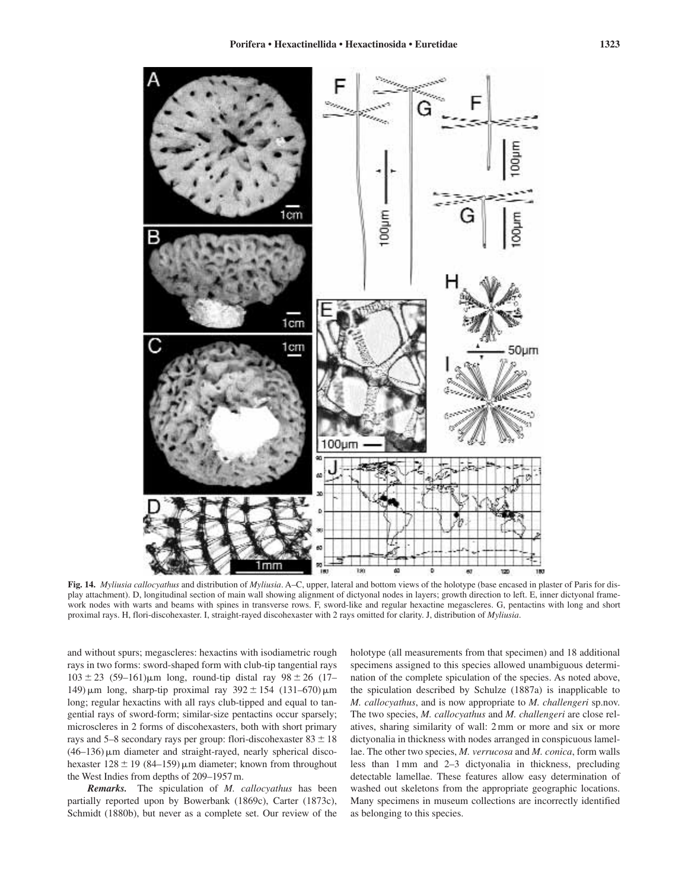![](_page_22_Figure_1.jpeg)

**Fig. 14.** *Myliusia callocyathus* and distribution of *Myliusia*. A–C, upper, lateral and bottom views of the holotype (base encased in plaster of Paris for display attachment). D, longitudinal section of main wall showing alignment of dictyonal nodes in layers; growth direction to left. E, inner dictyonal framework nodes with warts and beams with spines in transverse rows. F, sword-like and regular hexactine megascleres. G, pentactins with long and short proximal rays. H, flori-discohexaster. I, straight-rayed discohexaster with 2 rays omitted for clarity. J, distribution of *Myliusia*.

and without spurs; megascleres: hexactins with isodiametric rough rays in two forms: sword-shaped form with club-tip tangential rays  $103 \pm 23$  (59–161) $\mu$ m long, round-tip distal ray 98  $\pm 26$  (17– 149)  $\mu$ m long, sharp-tip proximal ray 392  $\pm$  154 (131–670)  $\mu$ m long; regular hexactins with all rays club-tipped and equal to tangential rays of sword-form; similar-size pentactins occur sparsely; microscleres in 2 forms of discohexasters, both with short primary rays and 5–8 secondary rays per group: flori-discohexaster  $83 \pm 18$  $(46-136)$   $\mu$ m diameter and straight-rayed, nearly spherical discohexaster  $128 \pm 19$  (84–159) µm diameter; known from throughout the West Indies from depths of 209–1957 m.

*Remarks.* The spiculation of *M. callocyathus* has been partially reported upon by Bowerbank (1869c), Carter (1873c), Schmidt (1880b), but never as a complete set. Our review of the

holotype (all measurements from that specimen) and 18 additional specimens assigned to this species allowed unambiguous determination of the complete spiculation of the species. As noted above, the spiculation described by Schulze (1887a) is inapplicable to *M. callocyathus*, and is now appropriate to *M. challengeri* sp.nov. The two species, *M. callocyathus* and *M. challengeri* are close relatives, sharing similarity of wall: 2 mm or more and six or more dictyonalia in thickness with nodes arranged in conspicuous lamellae. The other two species, *M. verrucosa* and *M. conica*, form walls less than 1 mm and 2–3 dictyonalia in thickness, precluding detectable lamellae. These features allow easy determination of washed out skeletons from the appropriate geographic locations. Many specimens in museum collections are incorrectly identified as belonging to this species.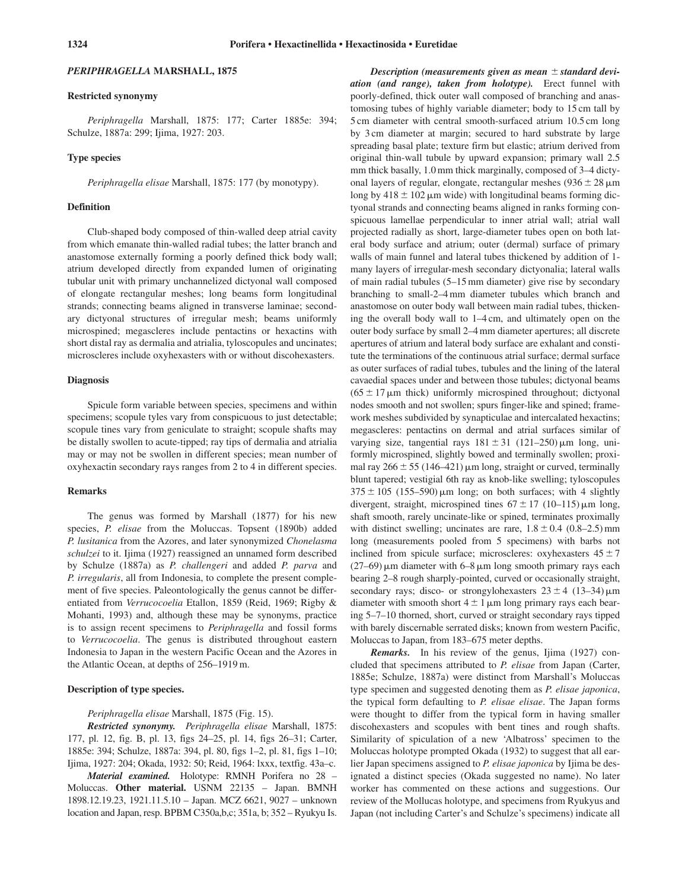### *PERIPHRAGELLA* **MARSHALL, 1875**

#### **Restricted synonymy**

*Periphragella* Marshall, 1875: 177; Carter 1885e: 394; Schulze, 1887a: 299; Ijima, 1927: 203.

# **Type species**

*Periphragella elisae* Marshall, 1875: 177 (by monotypy).

# **Definition**

Club-shaped body composed of thin-walled deep atrial cavity from which emanate thin-walled radial tubes; the latter branch and anastomose externally forming a poorly defined thick body wall; atrium developed directly from expanded lumen of originating tubular unit with primary unchannelized dictyonal wall composed of elongate rectangular meshes; long beams form longitudinal strands; connecting beams aligned in transverse laminae; secondary dictyonal structures of irregular mesh; beams uniformly microspined; megascleres include pentactins or hexactins with short distal ray as dermalia and atrialia, tyloscopules and uncinates; microscleres include oxyhexasters with or without discohexasters.

# **Diagnosis**

Spicule form variable between species, specimens and within specimens; scopule tyles vary from conspicuous to just detectable; scopule tines vary from geniculate to straight; scopule shafts may be distally swollen to acute-tipped; ray tips of dermalia and atrialia may or may not be swollen in different species; mean number of oxyhexactin secondary rays ranges from 2 to 4 in different species.

#### **Remarks**

The genus was formed by Marshall (1877) for his new species, *P. elisae* from the Moluccas. Topsent (1890b) added *P. lusitanica* from the Azores, and later synonymized *Chonelasma schulzei* to it. Ijima (1927) reassigned an unnamed form described by Schulze (1887a) as *P. challengeri* and added *P. parva* and *P. irregularis*, all from Indonesia, to complete the present complement of five species. Paleontologically the genus cannot be differentiated from *Verrucocoelia* Etallon, 1859 (Reid, 1969; Rigby & Mohanti, 1993) and, although these may be synonyms, practice is to assign recent specimens to *Periphragella* and fossil forms to *Verrucocoelia*. The genus is distributed throughout eastern Indonesia to Japan in the western Pacific Ocean and the Azores in the Atlantic Ocean, at depths of 256–1919 m.

### **Description of type species.**

#### *Periphragella elisae* Marshall, 1875 (Fig. 15).

*Restricted synonymy. Periphragella elisae* Marshall, 1875: 177, pl. 12, fig. B, pl. 13, figs 24–25, pl. 14, figs 26–31; Carter, 1885e: 394; Schulze, 1887a: 394, pl. 80, figs 1–2, pl. 81, figs 1–10; Ijima, 1927: 204; Okada, 1932: 50; Reid, 1964: lxxx, textfig. 43a–c.

*Material examined.* Holotype: RMNH Porifera no 28 – Moluccas. **Other material.** USNM 22135 – Japan. BMNH 1898.12.19.23, 1921.11.5.10 – Japan. MCZ 6621, 9027 – unknown location and Japan, resp. BPBM C350a,b,c; 351a, b; 352 – Ryukyu Is.

*Description (measurements given as mean*  $\pm$  *standard deviation (and range), taken from holotype).* Erect funnel with poorly-defined, thick outer wall composed of branching and anastomosing tubes of highly variable diameter; body to 15 cm tall by 5 cm diameter with central smooth-surfaced atrium 10.5 cm long by 3 cm diameter at margin; secured to hard substrate by large spreading basal plate; texture firm but elastic; atrium derived from original thin-wall tubule by upward expansion; primary wall 2.5 mm thick basally, 1.0 mm thick marginally, composed of 3–4 dictyonal layers of regular, elongate, rectangular meshes  $(936 \pm 28 \,\mu m)$ long by  $418 \pm 102 \,\mu m$  wide) with longitudinal beams forming dictyonal strands and connecting beams aligned in ranks forming conspicuous lamellae perpendicular to inner atrial wall; atrial wall projected radially as short, large-diameter tubes open on both lateral body surface and atrium; outer (dermal) surface of primary walls of main funnel and lateral tubes thickened by addition of 1 many layers of irregular-mesh secondary dictyonalia; lateral walls of main radial tubules (5–15 mm diameter) give rise by secondary branching to small-2–4 mm diameter tubules which branch and anastomose on outer body wall between main radial tubes, thickening the overall body wall to 1–4 cm, and ultimately open on the outer body surface by small 2–4 mm diameter apertures; all discrete apertures of atrium and lateral body surface are exhalant and constitute the terminations of the continuous atrial surface; dermal surface as outer surfaces of radial tubes, tubules and the lining of the lateral cavaedial spaces under and between those tubules; dictyonal beams  $(65 \pm 17 \,\mu m)$  thick) uniformly microspined throughout; dictyonal nodes smooth and not swollen; spurs finger-like and spined; framework meshes subdivided by synapticulae and intercalated hexactins; megascleres: pentactins on dermal and atrial surfaces similar of varying size, tangential rays  $181 \pm 31$  (121–250)  $\mu$ m long, uniformly microspined, slightly bowed and terminally swollen; proximal ray  $266 \pm 55$  (146–421)  $\mu$ m long, straight or curved, terminally blunt tapered; vestigial 6th ray as knob-like swelling; tyloscopules  $375 \pm 105$  (155–590) µm long; on both surfaces; with 4 slightly divergent, straight, microspined tines  $67 \pm 17$  (10–115)  $\mu$ m long, shaft smooth, rarely uncinate-like or spined, terminates proximally with distinct swelling; uncinates are rare,  $1.8 \pm 0.4$  (0.8–2.5) mm long (measurements pooled from 5 specimens) with barbs not inclined from spicule surface; microscleres: oxyhexasters  $45 \pm 7$  $(27-69)$  µm diameter with 6–8 µm long smooth primary rays each bearing 2–8 rough sharply-pointed, curved or occasionally straight, secondary rays; disco- or strongylohexasters  $23 \pm 4$  (13–34) $\mu$ m diameter with smooth short  $4 \pm 1 \,\mu m$  long primary rays each bearing 5–7–10 thorned, short, curved or straight secondary rays tipped with barely discernable serrated disks; known from western Pacific, Moluccas to Japan, from 183–675 meter depths.

*Remarks.* In his review of the genus, Ijima (1927) concluded that specimens attributed to *P. elisae* from Japan (Carter, 1885e; Schulze, 1887a) were distinct from Marshall's Moluccas type specimen and suggested denoting them as *P. elisae japonica*, the typical form defaulting to *P. elisae elisae*. The Japan forms were thought to differ from the typical form in having smaller discohexasters and scopules with bent tines and rough shafts. Similarity of spiculation of a new 'Albatross' specimen to the Moluccas holotype prompted Okada (1932) to suggest that all earlier Japan specimens assigned to *P. elisae japonica* by Ijima be designated a distinct species (Okada suggested no name). No later worker has commented on these actions and suggestions. Our review of the Mollucas holotype, and specimens from Ryukyus and Japan (not including Carter's and Schulze's specimens) indicate all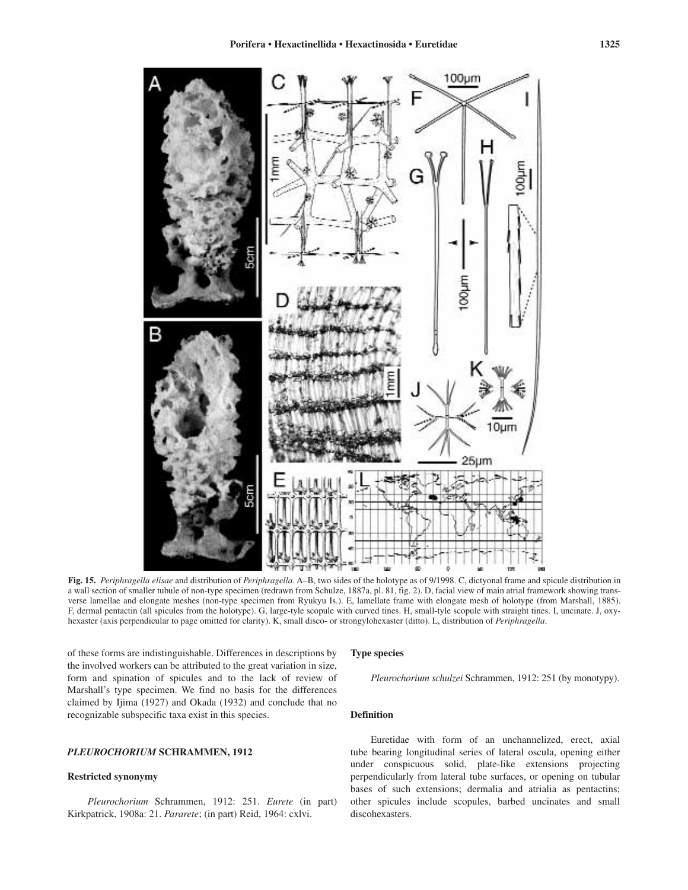![](_page_24_Figure_1.jpeg)

**Fig. 15.** *Periphragella elisae* and distribution of *Periphragella*. A–B, two sides of the holotype as of 9/1998. C, dictyonal frame and spicule distribution in a wall section of smaller tubule of non-type specimen (redrawn from Schulze, 1887a, pl. 81, fig. 2). D, facial view of main atrial framework showing transverse lamellae and elongate meshes (non-type specimen from Ryukyu Is.). E, lamellate frame with elongate mesh of holotype (from Marshall, 1885). F, dermal pentactin (all spicules from the holotype). G, large-tyle scopule with curved tines. H, small-tyle scopule with straight tines. I, uncinate. J, oxyhexaster (axis perpendicular to page omitted for clarity). K, small disco- or strongylohexaster (ditto). L, distribution of *Periphragella*.

of these forms are indistinguishable. Differences in descriptions by the involved workers can be attributed to the great variation in size, form and spination of spicules and to the lack of review of Marshall's type specimen. We find no basis for the differences claimed by Ijima (1927) and Okada (1932) and conclude that no recognizable subspecific taxa exist in this species.

# *PLEUROCHORIUM* **SCHRAMMEN, 1912**

# **Restricted synonymy**

*Pleurochorium* Schrammen, 1912: 251. *Eurete* (in part) Kirkpatrick, 1908a: 21. *Pararete*; (in part) Reid, 1964: cxlvi.

# **Type species**

*Pleurochorium schulzei* Schrammen, 1912: 251 (by monotypy).

### **Definition**

Euretidae with form of an unchannelized, erect, axial tube bearing longitudinal series of lateral oscula, opening either under conspicuous solid, plate-like extensions projecting perpendicularly from lateral tube surfaces, or opening on tubular bases of such extensions; dermalia and atrialia as pentactins; other spicules include scopules, barbed uncinates and small discohexasters.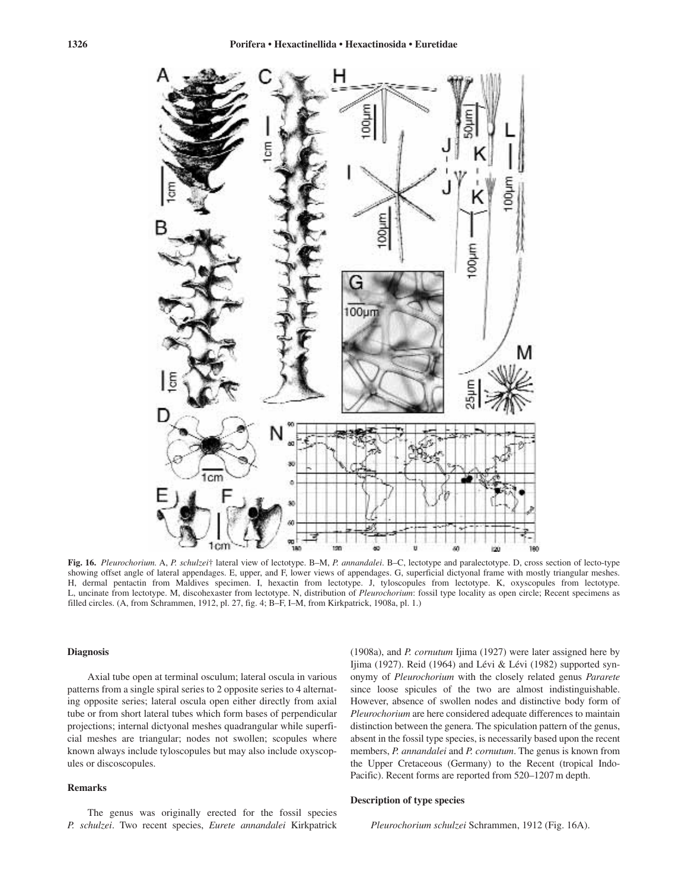![](_page_25_Figure_1.jpeg)

**Fig. 16.** *Pleurochorium.* A, *P. schulzei*† lateral view of lectotype. B–M, *P. annandalei*. B–C, lectotype and paralectotype. D, cross section of lecto-type showing offset angle of lateral appendages. E, upper, and F, lower views of appendages. G, superficial dictyonal frame with mostly triangular meshes. H, dermal pentactin from Maldives specimen. I, hexactin from lectotype. J, tyloscopules from lectotype. K, oxyscopules from lectotype. L, uncinate from lectotype. M, discohexaster from lectotype. N, distribution of *Pleurochorium*: fossil type locality as open circle; Recent specimens as filled circles. (A, from Schrammen, 1912, pl. 27, fig. 4; B–F, I–M, from Kirkpatrick, 1908a, pl. 1.)

# **Diagnosis**

Axial tube open at terminal osculum; lateral oscula in various patterns from a single spiral series to 2 opposite series to 4 alternating opposite series; lateral oscula open either directly from axial tube or from short lateral tubes which form bases of perpendicular projections; internal dictyonal meshes quadrangular while superficial meshes are triangular; nodes not swollen; scopules where known always include tyloscopules but may also include oxyscopules or discoscopules.

# **Remarks**

The genus was originally erected for the fossil species *P. schulzei*. Two recent species, *Eurete annandalei* Kirkpatrick

(1908a), and *P. cornutum* Ijima (1927) were later assigned here by Ijima (1927). Reid (1964) and Lévi & Lévi (1982) supported synonymy of *Pleurochorium* with the closely related genus *Pararete* since loose spicules of the two are almost indistinguishable. However, absence of swollen nodes and distinctive body form of *Pleurochorium* are here considered adequate differences to maintain distinction between the genera. The spiculation pattern of the genus, absent in the fossil type species, is necessarily based upon the recent members, *P. annandalei* and *P. cornutum*. The genus is known from the Upper Cretaceous (Germany) to the Recent (tropical Indo-Pacific). Recent forms are reported from 520–1207 m depth.

# **Description of type species**

*Pleurochorium schulzei* Schrammen, 1912 (Fig. 16A).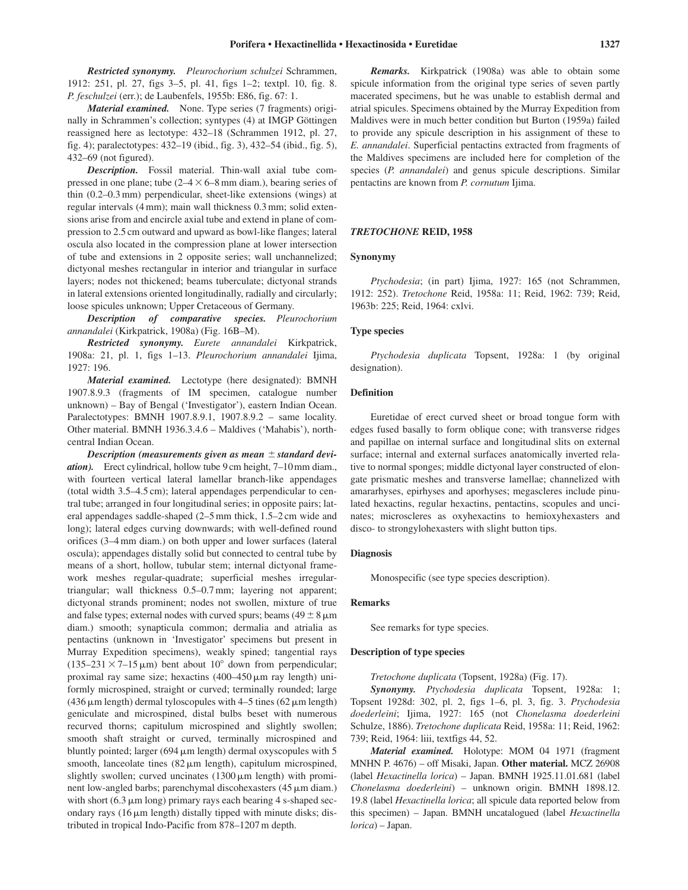*Material examined.* None. Type series (7 fragments) originally in Schrammen's collection; syntypes (4) at IMGP Göttingen reassigned here as lectotype: 432–18 (Schrammen 1912, pl. 27, fig. 4); paralectotypes: 432–19 (ibid., fig. 3), 432–54 (ibid., fig. 5), 432–69 (not figured).

*Description.* Fossil material. Thin-wall axial tube compressed in one plane; tube  $(2-4 \times 6-8 \text{ mm} \text{ diam.})$ , bearing series of thin (0.2–0.3 mm) perpendicular, sheet-like extensions (wings) at regular intervals (4 mm); main wall thickness 0.3 mm; solid extensions arise from and encircle axial tube and extend in plane of compression to 2.5 cm outward and upward as bowl-like flanges; lateral oscula also located in the compression plane at lower intersection of tube and extensions in 2 opposite series; wall unchannelized; dictyonal meshes rectangular in interior and triangular in surface layers; nodes not thickened; beams tuberculate; dictyonal strands in lateral extensions oriented longitudinally, radially and circularly; loose spicules unknown; Upper Cretaceous of Germany.

*Description of comparative species. Pleurochorium annandalei* (Kirkpatrick, 1908a) (Fig. 16B–M).

*Restricted synonymy. Eurete annandalei* Kirkpatrick, 1908a: 21, pl. 1, figs 1–13. *Pleurochorium annandalei* Ijima, 1927: 196.

*Material examined.* Lectotype (here designated): BMNH 1907.8.9.3 (fragments of IM specimen, catalogue number unknown) – Bay of Bengal ('Investigator'), eastern Indian Ocean. Paralectotypes: BMNH 1907.8.9.1, 1907.8.9.2 – same locality. Other material. BMNH 1936.3.4.6 – Maldives ('Mahabis'), northcentral Indian Ocean.

*Description (measurements given as mean*  $\pm$  *standard deviation).* Erect cylindrical, hollow tube 9 cm height, 7–10 mm diam., with fourteen vertical lateral lamellar branch-like appendages (total width 3.5–4.5 cm); lateral appendages perpendicular to central tube; arranged in four longitudinal series; in opposite pairs; lateral appendages saddle-shaped (2–5 mm thick, 1.5–2 cm wide and long); lateral edges curving downwards; with well-defined round orifices (3–4 mm diam.) on both upper and lower surfaces (lateral oscula); appendages distally solid but connected to central tube by means of a short, hollow, tubular stem; internal dictyonal framework meshes regular-quadrate; superficial meshes irregulartriangular; wall thickness 0.5–0.7 mm; layering not apparent; dictyonal strands prominent; nodes not swollen, mixture of true and false types; external nodes with curved spurs; beams  $(49 \pm 8 \,\mu m)$ diam.) smooth; synapticula common; dermalia and atrialia as pentactins (unknown in 'Investigator' specimens but present in Murray Expedition specimens), weakly spined; tangential rays  $(135-231 \times 7-15 \,\mu m)$  bent about  $10^{\circ}$  down from perpendicular; proximal ray same size; hexactins  $(400-450 \,\mu m)$  ray length) uniformly microspined, straight or curved; terminally rounded; large  $(436 \,\mu m \, length)$  dermal tyloscopules with  $4-5$  tines  $(62 \,\mu m \, length)$ geniculate and microspined, distal bulbs beset with numerous recurved thorns; capitulum microspined and slightly swollen; smooth shaft straight or curved, terminally microspined and bluntly pointed; larger  $(694 \,\mu m)$  length) dermal oxyscopules with 5 smooth, lanceolate tines  $(82 \mu m \quad \text{length})$ , capitulum microspined, slightly swollen; curved uncinates  $(1300 \,\mu m)$  length) with prominent low-angled barbs; parenchymal discohexasters (45  $\mu$ m diam.) with short  $(6.3 \mu m \text{ long})$  primary rays each bearing 4 s-shaped secondary rays  $(16 \mu m \; length)$  distally tipped with minute disks; distributed in tropical Indo-Pacific from 878–1207 m depth.

*Remarks.* Kirkpatrick (1908a) was able to obtain some spicule information from the original type series of seven partly macerated specimens, but he was unable to establish dermal and atrial spicules. Specimens obtained by the Murray Expedition from Maldives were in much better condition but Burton (1959a) failed to provide any spicule description in his assignment of these to *E. annandalei*. Superficial pentactins extracted from fragments of the Maldives specimens are included here for completion of the species (*P. annandalei*) and genus spicule descriptions. Similar pentactins are known from *P. cornutum* Ijima.

# *TRETOCHONE* **REID, 1958**

### **Synonymy**

*Ptychodesia*; (in part) Ijima, 1927: 165 (not Schrammen, 1912: 252). *Tretochone* Reid, 1958a: 11; Reid, 1962: 739; Reid, 1963b: 225; Reid, 1964: cxlvi.

#### **Type species**

*Ptychodesia duplicata* Topsent, 1928a: 1 (by original designation).

# **Definition**

Euretidae of erect curved sheet or broad tongue form with edges fused basally to form oblique cone; with transverse ridges and papillae on internal surface and longitudinal slits on external surface; internal and external surfaces anatomically inverted relative to normal sponges; middle dictyonal layer constructed of elongate prismatic meshes and transverse lamellae; channelized with amararhyses, epirhyses and aporhyses; megascleres include pinulated hexactins, regular hexactins, pentactins, scopules and uncinates; microscleres as oxyhexactins to hemioxyhexasters and disco- to strongylohexasters with slight button tips.

### **Diagnosis**

Monospecific (see type species description).

# **Remarks**

See remarks for type species.

# **Description of type species**

*Tretochone duplicata* (Topsent, 1928a) (Fig. 17).

*Synonymy. Ptychodesia duplicata* Topsent, 1928a: 1; Topsent 1928d: 302, pl. 2, figs 1–6, pl. 3, fig. 3. *Ptychodesia doederleini*; Ijima, 1927: 165 (not *Chonelasma doederleini* Schulze, 1886). *Tretochone duplicata* Reid, 1958a: 11; Reid, 1962: 739; Reid, 1964: liii, textfigs 44, 52.

*Material examined.* Holotype: MOM 04 1971 (fragment MNHN P. 4676) – off Misaki, Japan. **Other material.** MCZ 26908 (label *Hexactinella lorica*) – Japan. BMNH 1925.11.01.681 (label *Chonelasma doederleini*) – unknown origin. BMNH 1898.12. 19.8 (label *Hexactinella lorica*; all spicule data reported below from this specimen) – Japan. BMNH uncatalogued (label *Hexactinella lorica*) – Japan.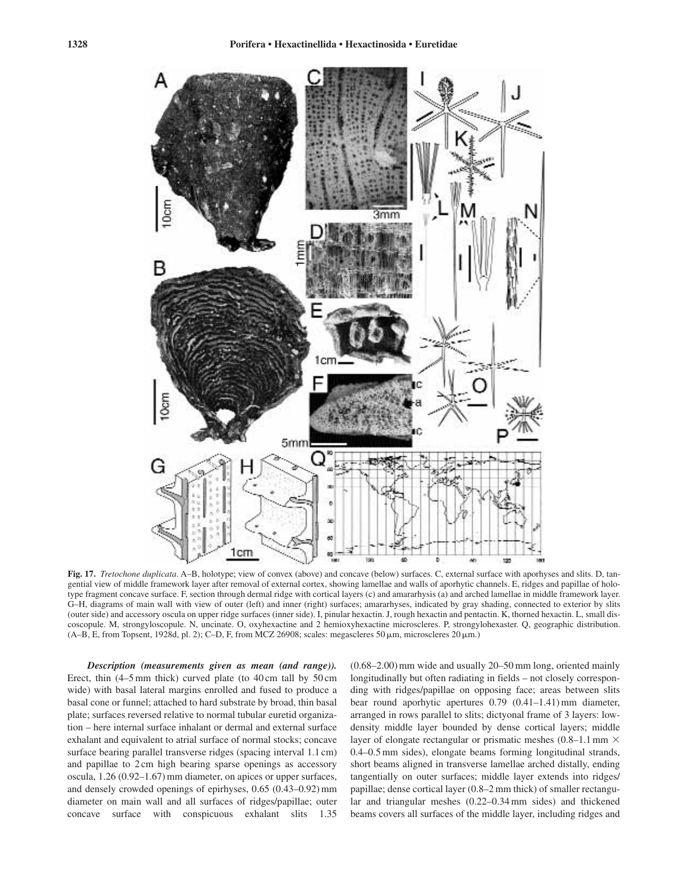![](_page_27_Figure_2.jpeg)

**Fig. 17.** *Tretochone duplicata*. A–B, holotype; view of convex (above) and concave (below) surfaces. C, external surface with aporhyses and slits. D, tangential view of middle framework layer after removal of external cortex, showing lamellae and walls of aporhytic channels. E, ridges and papillae of holotype fragment concave surface. F, section through dermal ridge with cortical layers (c) and amararhysis (a) and arched lamellae in middle framework layer. G–H, diagrams of main wall with view of outer (left) and inner (right) surfaces; amararhyses, indicated by gray shading, connected to exterior by slits (outer side) and accessory oscula on upper ridge surfaces (inner side). I, pinular hexactin. J, rough hexactin and pentactin. K, thorned hexactin. L, small discoscopule. M, strongyloscopule. N, uncinate. O, oxyhexactine and 2 hemioxyhexactine microscleres. P, strongylohexaster. Q, geographic distribution.  $(A-B, E, from Topsent, 1928d, pl. 2); C-D, F, from MCZ 26908; scales: megascleres 50 µm, microscleres 20 µm.)$ 

*Description (measurements given as mean (and range)).* Erect, thin (4–5 mm thick) curved plate (to 40 cm tall by 50 cm wide) with basal lateral margins enrolled and fused to produce a basal cone or funnel; attached to hard substrate by broad, thin basal plate; surfaces reversed relative to normal tubular euretid organization – here internal surface inhalant or dermal and external surface exhalant and equivalent to atrial surface of normal stocks; concave surface bearing parallel transverse ridges (spacing interval 1.1 cm) and papillae to 2 cm high bearing sparse openings as accessory oscula, 1.26 (0.92–1.67) mm diameter, on apices or upper surfaces, and densely crowded openings of epirhyses, 0.65 (0.43–0.92) mm diameter on main wall and all surfaces of ridges/papillae; outer concave surface with conspicuous exhalant slits 1.35

(0.68–2.00) mm wide and usually 20–50 mm long, oriented mainly longitudinally but often radiating in fields – not closely corresponding with ridges/papillae on opposing face; areas between slits bear round aporhytic apertures 0.79 (0.41–1.41) mm diameter, arranged in rows parallel to slits; dictyonal frame of 3 layers: lowdensity middle layer bounded by dense cortical layers; middle layer of elongate rectangular or prismatic meshes  $(0.8-1.1 \text{ mm} \times$ 0.4–0.5 mm sides), elongate beams forming longitudinal strands, short beams aligned in transverse lamellae arched distally, ending tangentially on outer surfaces; middle layer extends into ridges/ papillae; dense cortical layer (0.8–2 mm thick) of smaller rectangular and triangular meshes (0.22–0.34 mm sides) and thickened beams covers all surfaces of the middle layer, including ridges and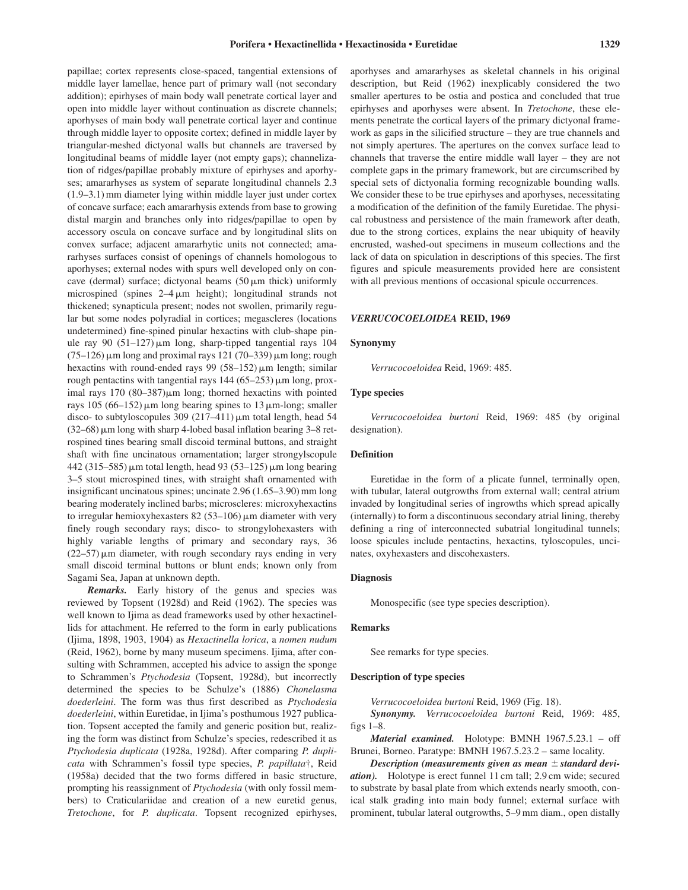papillae; cortex represents close-spaced, tangential extensions of middle layer lamellae, hence part of primary wall (not secondary addition); epirhyses of main body wall penetrate cortical layer and open into middle layer without continuation as discrete channels; aporhyses of main body wall penetrate cortical layer and continue through middle layer to opposite cortex; defined in middle layer by triangular-meshed dictyonal walls but channels are traversed by longitudinal beams of middle layer (not empty gaps); channelization of ridges/papillae probably mixture of epirhyses and aporhyses; amararhyses as system of separate longitudinal channels 2.3 (1.9–3.1) mm diameter lying within middle layer just under cortex of concave surface; each amararhysis extends from base to growing distal margin and branches only into ridges/papillae to open by accessory oscula on concave surface and by longitudinal slits on convex surface; adjacent amararhytic units not connected; amararhyses surfaces consist of openings of channels homologous to aporhyses; external nodes with spurs well developed only on concave (dermal) surface; dictyonal beams  $(50 \,\mu m)$  thick) uniformly microspined (spines  $2-4 \mu m$  height); longitudinal strands not thickened; synapticula present; nodes not swollen, primarily regular but some nodes polyradial in cortices; megascleres (locations undetermined) fine-spined pinular hexactins with club-shape pinule ray 90  $(51-127)$  µm long, sharp-tipped tangential rays 104  $(75-126)$  µm long and proximal rays 121 (70–339) µm long; rough hexactins with round-ended rays 99  $(58-152)$   $\mu$ m length; similar rough pentactins with tangential rays  $144 (65-253) \mu m$  long, proximal rays 170 (80-387)µm long; thorned hexactins with pointed rays 105 (66–152)  $\mu$ m long bearing spines to 13  $\mu$ m-long; smaller disco- to subtyloscopules 309 (217–411) µm total length, head 54  $(32–68)$   $\mu$ m long with sharp 4-lobed basal inflation bearing 3–8 retrospined tines bearing small discoid terminal buttons, and straight shaft with fine uncinatous ornamentation; larger strongylscopule 442 (315–585) μm total length, head 93 (53–125) μm long bearing 3–5 stout microspined tines, with straight shaft ornamented with insignificant uncinatous spines; uncinate 2.96 (1.65–3.90) mm long bearing moderately inclined barbs; microscleres: microxyhexactins to irregular hemioxyhexasters  $82(53-106)$  µm diameter with very finely rough secondary rays; disco- to strongylohexasters with highly variable lengths of primary and secondary rays, 36  $(22-57)$   $\mu$ m diameter, with rough secondary rays ending in very small discoid terminal buttons or blunt ends; known only from Sagami Sea, Japan at unknown depth.

*Remarks.* Early history of the genus and species was reviewed by Topsent (1928d) and Reid (1962). The species was well known to Ijima as dead frameworks used by other hexactinellids for attachment. He referred to the form in early publications (Ijima, 1898, 1903, 1904) as *Hexactinella lorica*, a *nomen nudum* (Reid, 1962), borne by many museum specimens. Ijima, after consulting with Schrammen, accepted his advice to assign the sponge to Schrammen's *Ptychodesia* (Topsent, 1928d), but incorrectly determined the species to be Schulze's (1886) *Chonelasma doederleini*. The form was thus first described as *Ptychodesia doederleini*, within Euretidae, in Ijima's posthumous 1927 publication. Topsent accepted the family and generic position but, realizing the form was distinct from Schulze's species, redescribed it as *Ptychodesia duplicata* (1928a, 1928d). After comparing *P. duplicata* with Schrammen's fossil type species, *P. papillata*†, Reid (1958a) decided that the two forms differed in basic structure, prompting his reassignment of *Ptychodesia* (with only fossil members) to Craticulariidae and creation of a new euretid genus, *Tretochone*, for *P. duplicata*. Topsent recognized epirhyses, aporhyses and amararhyses as skeletal channels in his original description, but Reid (1962) inexplicably considered the two smaller apertures to be ostia and postica and concluded that true epirhyses and aporhyses were absent. In *Tretochone*, these elements penetrate the cortical layers of the primary dictyonal framework as gaps in the silicified structure – they are true channels and not simply apertures. The apertures on the convex surface lead to channels that traverse the entire middle wall layer – they are not complete gaps in the primary framework, but are circumscribed by special sets of dictyonalia forming recognizable bounding walls. We consider these to be true epirhyses and aporhyses, necessitating a modification of the definition of the family Euretidae. The physical robustness and persistence of the main framework after death, due to the strong cortices, explains the near ubiquity of heavily encrusted, washed-out specimens in museum collections and the lack of data on spiculation in descriptions of this species. The first figures and spicule measurements provided here are consistent with all previous mentions of occasional spicule occurrences.

# *VERRUCOCOELOIDEA* **REID, 1969**

### **Synonymy**

*Verrucocoeloidea* Reid, 1969: 485.

#### **Type species**

*Verrucocoeloidea burtoni* Reid, 1969: 485 (by original designation).

# **Definition**

Euretidae in the form of a plicate funnel, terminally open, with tubular, lateral outgrowths from external wall; central atrium invaded by longitudinal series of ingrowths which spread apically (internally) to form a discontinuous secondary atrial lining, thereby defining a ring of interconnected subatrial longitudinal tunnels; loose spicules include pentactins, hexactins, tyloscopules, uncinates, oxyhexasters and discohexasters.

# **Diagnosis**

Monospecific (see type species description).

# **Remarks**

See remarks for type species.

### **Description of type species**

*Verrucocoeloidea burtoni* Reid, 1969 (Fig. 18).

*Synonymy. Verrucocoeloidea burtoni* Reid, 1969: 485, figs 1–8.

*Material examined.* Holotype: BMNH 1967.5.23.1 – off Brunei, Borneo. Paratype: BMNH 1967.5.23.2 – same locality.

*Description (measurements given as mean*  $\pm$  *standard deviation).* Holotype is erect funnel 11 cm tall; 2.9 cm wide; secured to substrate by basal plate from which extends nearly smooth, conical stalk grading into main body funnel; external surface with prominent, tubular lateral outgrowths, 5–9 mm diam., open distally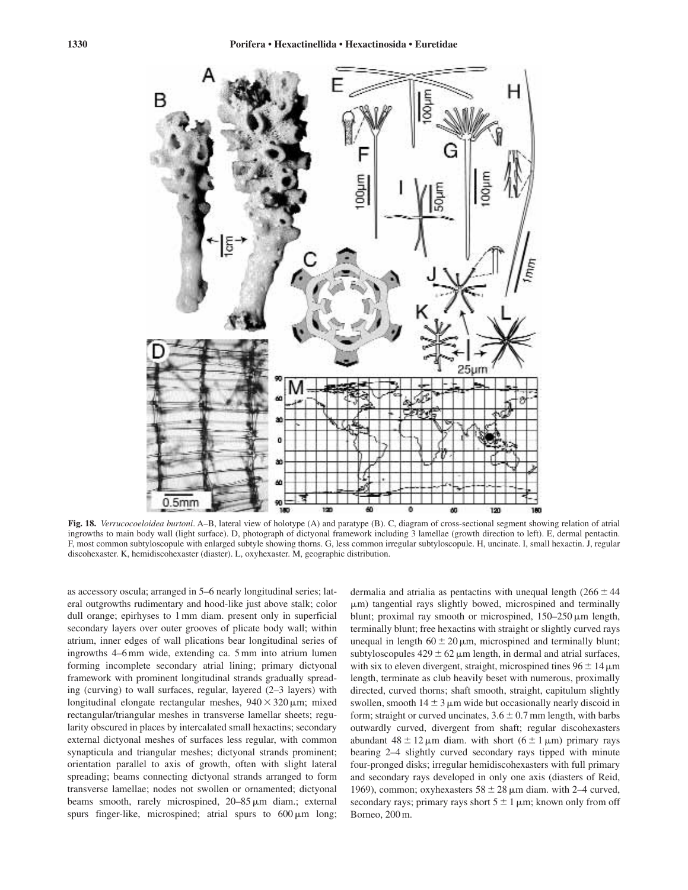![](_page_29_Figure_1.jpeg)

**Fig. 18.** *Verrucocoeloidea burtoni*. A–B, lateral view of holotype (A) and paratype (B). C, diagram of cross-sectional segment showing relation of atrial ingrowths to main body wall (light surface). D, photograph of dictyonal framework including 3 lamellae (growth direction to left). E, dermal pentactin. F, most common subtyloscopule with enlarged subtyle showing thorns. G, less common irregular subtyloscopule. H, uncinate. I, small hexactin. J, regular discohexaster. K, hemidiscohexaster (diaster). L, oxyhexaster. M, geographic distribution.

as accessory oscula; arranged in 5–6 nearly longitudinal series; lateral outgrowths rudimentary and hood-like just above stalk; color dull orange; epirhyses to 1 mm diam. present only in superficial secondary layers over outer grooves of plicate body wall; within atrium, inner edges of wall plications bear longitudinal series of ingrowths 4–6 mm wide, extending ca. 5 mm into atrium lumen forming incomplete secondary atrial lining; primary dictyonal framework with prominent longitudinal strands gradually spreading (curving) to wall surfaces, regular, layered (2–3 layers) with longitudinal elongate rectangular meshes,  $940 \times 320 \,\mu m$ ; mixed rectangular/triangular meshes in transverse lamellar sheets; regularity obscured in places by intercalated small hexactins; secondary external dictyonal meshes of surfaces less regular, with common synapticula and triangular meshes; dictyonal strands prominent; orientation parallel to axis of growth, often with slight lateral spreading; beams connecting dictyonal strands arranged to form transverse lamellae; nodes not swollen or ornamented; dictyonal beams smooth, rarely microspined, 20–85  $\mu$ m diam.; external spurs finger-like, microspined; atrial spurs to  $600 \,\mu m$  long;

dermalia and atrialia as pentactins with unequal length  $(266 \pm 44)$  $\mu$ m) tangential rays slightly bowed, microspined and terminally blunt; proximal ray smooth or microspined,  $150-250 \,\mu m$  length, terminally blunt; free hexactins with straight or slightly curved rays unequal in length  $60 \pm 20 \,\mu m$ , microspined and terminally blunt; subtyloscopules  $429 \pm 62 \,\mu m$  length, in dermal and atrial surfaces, with six to eleven divergent, straight, microspined tines  $96 \pm 14 \,\mathrm{\mu m}$ length, terminate as club heavily beset with numerous, proximally directed, curved thorns; shaft smooth, straight, capitulum slightly swollen, smooth  $14 \pm 3$   $\mu$ m wide but occasionally nearly discoid in form; straight or curved uncinates,  $3.6 \pm 0.7$  mm length, with barbs outwardly curved, divergent from shaft; regular discohexasters abundant  $48 \pm 12 \,\mu m$  diam. with short  $(6 \pm 1 \,\mu m)$  primary rays bearing 2–4 slightly curved secondary rays tipped with minute four-pronged disks; irregular hemidiscohexasters with full primary and secondary rays developed in only one axis (diasters of Reid, 1969), common; oxyhexasters  $58 \pm 28 \,\mu$ m diam. with 2–4 curved, secondary rays; primary rays short  $5 \pm 1 \,\mu m$ ; known only from off Borneo, 200 m.